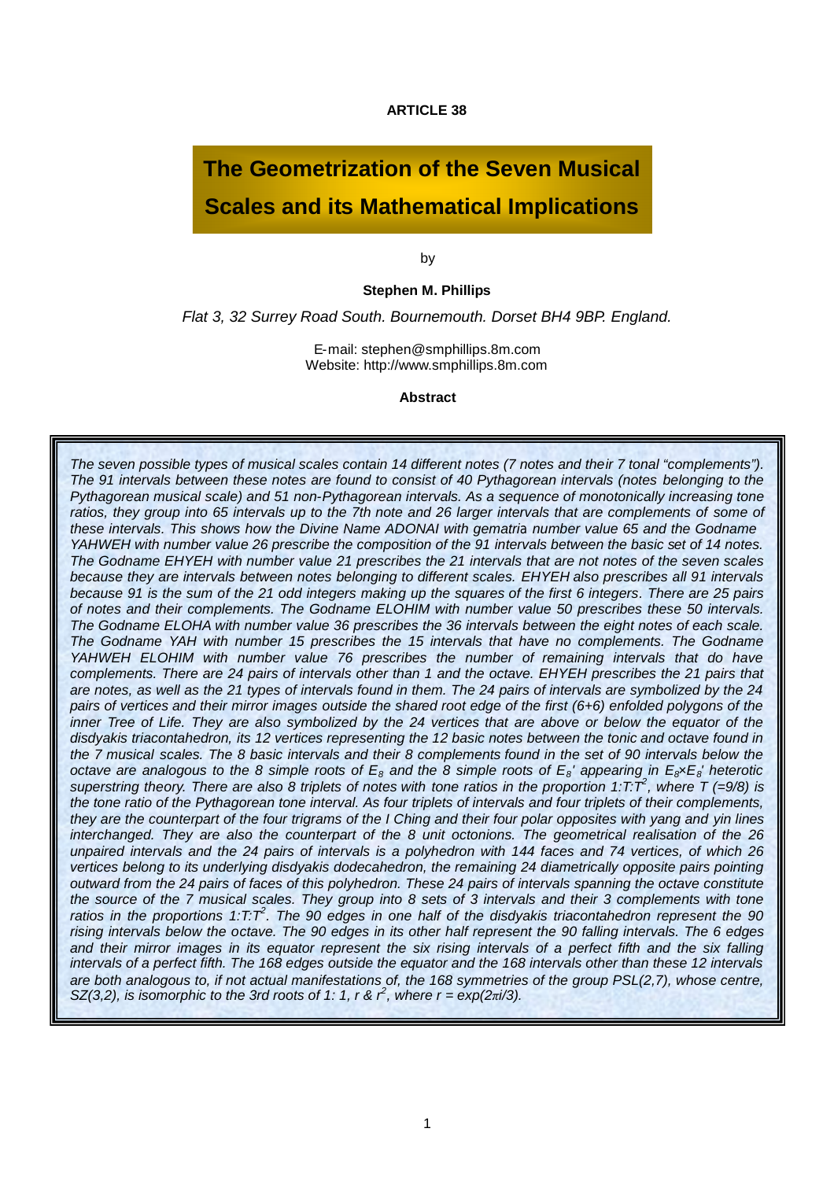**ARTICLE 38**

# **The Geometrization of the Seven Musical Scales and its Mathematical Implications**

by

#### **Stephen M. Phillips**

*Flat 3, 32 Surrey Road South. Bournemouth. Dorset BH4 9BP. England.*

E-mail: stephen@smphillips.8m.com Website: http://www.smphillips.8m.com

**Abstract**

*The seven possible types of musical scales contain 14 different notes (7 notes and their 7 tonal "complements"). The 91 intervals between these notes are found to consist of 40 Pythagorean intervals (notes belonging to the Pythagorean musical scale) and 51 non-Pythagorean intervals. As a sequence of monotonically increasing tone ratios, they group into 65 intervals up to the 7th note and 26 larger intervals that are complements of some of these intervals. This shows how the Divine Name ADONAI with gematria number value 65 and the Godname YAHWEH with number value 26 prescribe the composition of the 91 intervals between the basic set of 14 notes. The Godname EHYEH with number value 21 prescribes the 21 intervals that are not notes of the seven scales because they are intervals between notes belonging to different scales. EHYEH also prescribes all 91 intervals because 91 is the sum of the 21 odd integers making up the squares of the first 6 integers. There are 25 pairs of notes and their complements. The Godname ELOHIM with number value 50 prescribes these 50 intervals. The Godname ELOHA with number value 36 prescribes the 36 intervals between the eight notes of each scale. The Godname YAH with number 15 prescribes the 15 intervals that have no complements. The Godname YAHWEH ELOHIM with number value 76 prescribes the number of remaining intervals that do have complements. There are 24 pairs of intervals other than 1 and the octave. EHYEH prescribes the 21 pairs that are notes, as well as the 21 types of intervals found in them. The 24 pairs of intervals are symbolized by the 24 pairs of vertices and their mirror images outside the shared root edge of the first (6+6) enfolded polygons of the inner Tree of Life. They are also symbolized by the 24 vertices that are above or below the equator of the disdyakis triacontahedron, its 12 vertices representing the 12 basic notes between the tonic and octave found in the 7 musical scales. The 8 basic intervals and their 8 complements found in the set of 90 intervals below the octave are analogous to the 8 simple roots of E<sup>8</sup> and the 8 simple roots of E<sup>8</sup> ' appearing in E8×E<sup>8</sup> ' heterotic superstring theory. There are also 8 triplets of notes with tone ratios in the proportion 1:T:T<sup>2</sup> , where T (=9/8) is the tone ratio of the Pythagorean tone interval. As four triplets of intervals and four triplets of their complements, they are the counterpart of the four trigrams of the I Ching and their four polar opposites with yang and yin lines interchanged. They are also the counterpart of the 8 unit octonions. The geometrical realisation of the 26 unpaired intervals and the 24 pairs of intervals is a polyhedron with 144 faces and 74 vertices, of which 26 vertices belong to its underlying disdyakis dodecahedron, the remaining 24 diametrically opposite pairs pointing outward from the 24 pairs of faces of this polyhedron. These 24 pairs of intervals spanning the octave constitute the source of the 7 musical scales. They group into 8 sets of 3 intervals and their 3 complements with tone* ratios in the proportions 1:T:T<sup>2</sup>. The 90 edges in one half of the disdyakis triacontahedron represent the 90 *rising intervals below the octave. The 90 edges in its other half represent the 90 falling intervals. The 6 edges and their mirror images in its equator represent the six rising intervals of a perfect fifth and the six falling intervals of a perfect fifth. The 168 edges outside the equator and the 168 intervals other than these 12 intervals are both analogous to, if not actual manifestations of, the 168 symmetries of the group PSL(2,7), whose centre, SZ*(3,2), *is isomorphic to the 3rd roots of 1: 1, r &*  $\hat{r}$ *, where*  $r = \exp(2\pi i/3)$ *.*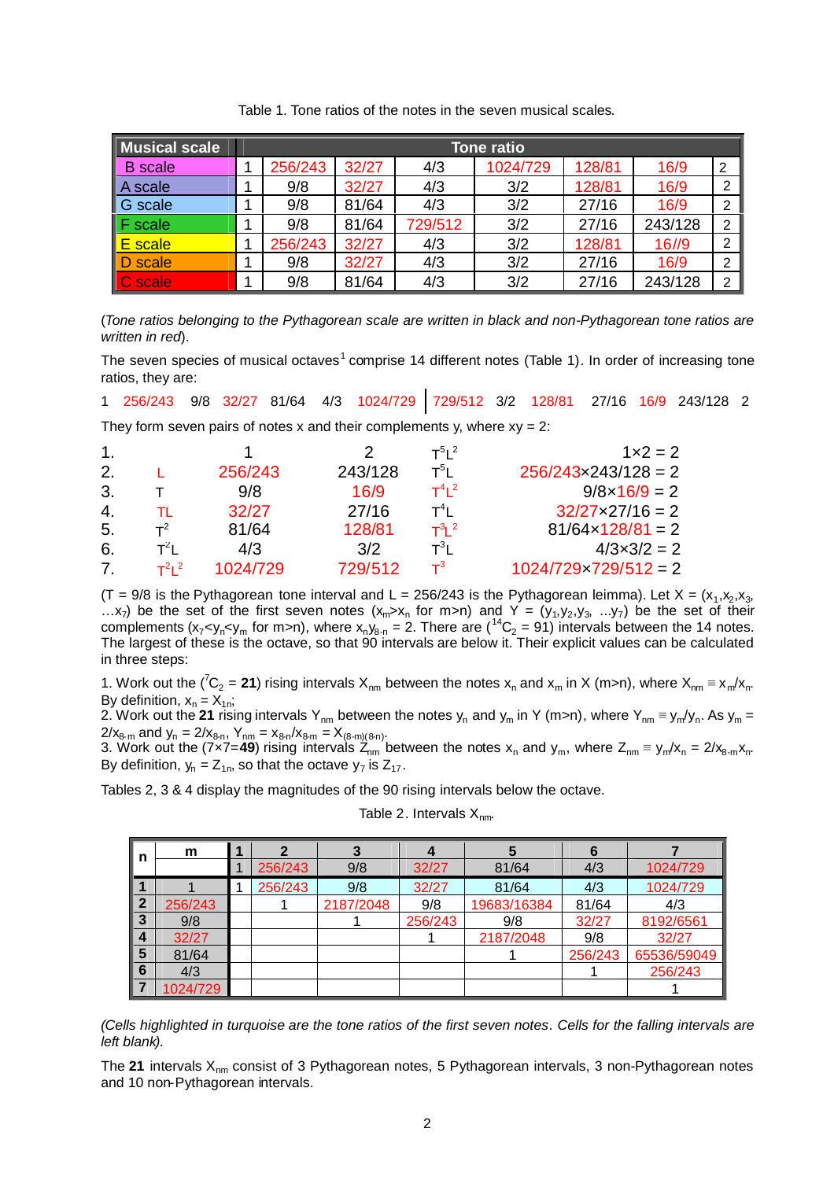| Musical scale       | Tone ratio |       |         |          |        |         |                |
|---------------------|------------|-------|---------|----------|--------|---------|----------------|
| B<br>scale          | 256/243    | 32/27 | 4/3     | 1024/729 | 128/81 | 16/9    | $\overline{2}$ |
| A scale             | 9/8        | 32/27 | 4/3     | 3/2      | 128/81 | 16/9    | ົ              |
| $\mathsf I$ G scale | 9/8        | 81/64 | 4/3     | 3/2      | 27/16  | 16/9    | ົ              |
| $\mathsf F$ scale   | 9/8        | 81/64 | 729/512 | 3/2      | 27/16  | 243/128 | 2              |
| $\mathsf{E}$ scale  | 256/243    | 32/27 | 4/3     | 3/2      | 128/81 | 16/9    | റ              |
| D scale             | 9/8        | 32/27 | 4/3     | 3/2      | 27/16  | 16/9    | 2              |
| C scale             | 9/8        | 81/64 | 4/3     | 3/2      | 27/16  | 243/128 | ົ              |

Table 1. Tone ratios of the notes in the seven musical scales.

(*Tone ratios belonging to the Pythagorean scale are written in black and non-Pythagorean tone ratios are written in red*).

The seven species of musical octaves<sup>[1](#page-14-0)</sup> comprise 14 different notes (Table 1). In order of increasing tone ratios, they are:

1 256/243 9/8 32/27 81/64 4/3 1024/729 729/512 3/2 128/81 27/16 16/9 243/128 2 They form seven pairs of notes x and their complements y, where  $xy = 2$ :

| 1.           |                      |          |         | $T^{5}$ $I^2$  | $1x^2 = 2$                    |
|--------------|----------------------|----------|---------|----------------|-------------------------------|
| 2.           |                      | 256/243  | 243/128 | $T^5$ l        | $256/243 \times 243/128 = 2$  |
| 3.           |                      | 9/8      | 16/9    | $T^4$ l $^2$   | $9/8 \times 16/9 = 2$         |
| $\mathbf{4}$ | TL.                  | 32/27    | 27/16   | $T^4$ l        | $32/27 \times 27/16 = 2$      |
| .5.          | $T^2$                | 81/64    | 128/81  | $T^3$ l $^2$   | $81/64 \times 128/81 = 2$     |
| 6.           | $T^2I$               | 4/3      | 3/2     | $T^3$ L        | $4/3 \times 3/2 = 2$          |
| 7            | $T^2$ <sub>1</sub> 2 | 1024/729 | 729/512 | $\mathsf{T}^3$ | $1024/729 \times 729/512 = 2$ |

(T = 9/8 is the Pythagorean tone interval and L = 256/243 is the Pythagorean leimma). Let X =  $(x_1, x_2, x_3,$ ...x<sub>7</sub>) be the set of the first seven notes  $(x_m > x_n$  for m>n) and Y =  $(y_1, y_2, y_3, ..., y_7)$  be the set of their complements (x<sub>7</sub><y<sub>n</sub><y<sub>m</sub> for m>n), where x<sub>n</sub>y<sub>8-n</sub> = 2. There are (<sup>14</sup>C<sub>2</sub> = 91) intervals between the 14 notes. The largest of these is the octave, so that 90 intervals are below it. Their explicit values can be calculated in three steps:

1. Work out the (<sup>7</sup>C<sub>2</sub> = 21) rising intervals X<sub>nm</sub> between the notes x<sub>n</sub> and x<sub>m</sub> in X (m>n), where X<sub>nm</sub> ≡ x<sub>m</sub>/x<sub>n</sub>. By definition,  $x_n = X_{1n}$ ;

2. Work out the 21 rising intervals Y<sub>nm</sub> between the notes y<sub>n</sub> and y<sub>m</sub> in Y (m>n), where Y<sub>nm</sub> ≡ y<sub>m</sub>/y<sub>n</sub>. As y<sub>m</sub> =  $2/x_{8-m}$  and  $y_n = 2/x_{8-n}$ ,  $Y_{nm} = x_{8-n}/x_{8-m} = X_{(8-m)(8-n)}$ .

3. Work out the (7x7=**49**) rising intervals  $Z_{nm}$  between the notes x<sub>n</sub> and y<sub>m</sub>, where  $Z_{nm} \equiv y_m/x_n = 2/x_{8-m}x_n$ . By definition,  $y_n = Z_{1n}$ , so that the octave  $y_7$  is  $Z_{17}$ .

Tables 2, 3 & 4 display the magnitudes of the 90 rising intervals below the octave.

| n                | m        | 1 | 2       | 3         | 4       | 5           | 6       |             |
|------------------|----------|---|---------|-----------|---------|-------------|---------|-------------|
|                  |          |   | 256/243 | 9/8       | 32/27   | 81/64       | 4/3     | 1024/729    |
|                  |          |   | 256/243 | 9/8       | 32/27   | 81/64       | 4/3     | 1024/729    |
| $\boldsymbol{2}$ | 256/243  |   |         | 2187/2048 | 9/8     | 19683/16384 | 81/64   | 4/3         |
| 3                | 9/8      |   |         |           | 256/243 | 9/8         | 32/27   | 8192/6561   |
| $\overline{4}$   | 32/27    |   |         |           |         | 2187/2048   | 9/8     | 32/27       |
| 5                | 81/64    |   |         |           |         |             | 256/243 | 65536/59049 |
| 6                | 4/3      |   |         |           |         |             |         | 256/243     |
|                  | 1024/729 |   |         |           |         |             |         |             |

Table 2. Intervals  $X_{nm}$ .

*(Cells highlighted in turquoise are the tone ratios of the first seven notes. Cells for the falling intervals are left blank).*

The 21 intervals X<sub>nm</sub> consist of 3 Pythagorean notes, 5 Pythagorean intervals, 3 non-Pythagorean notes and 10 non-Pythagorean intervals.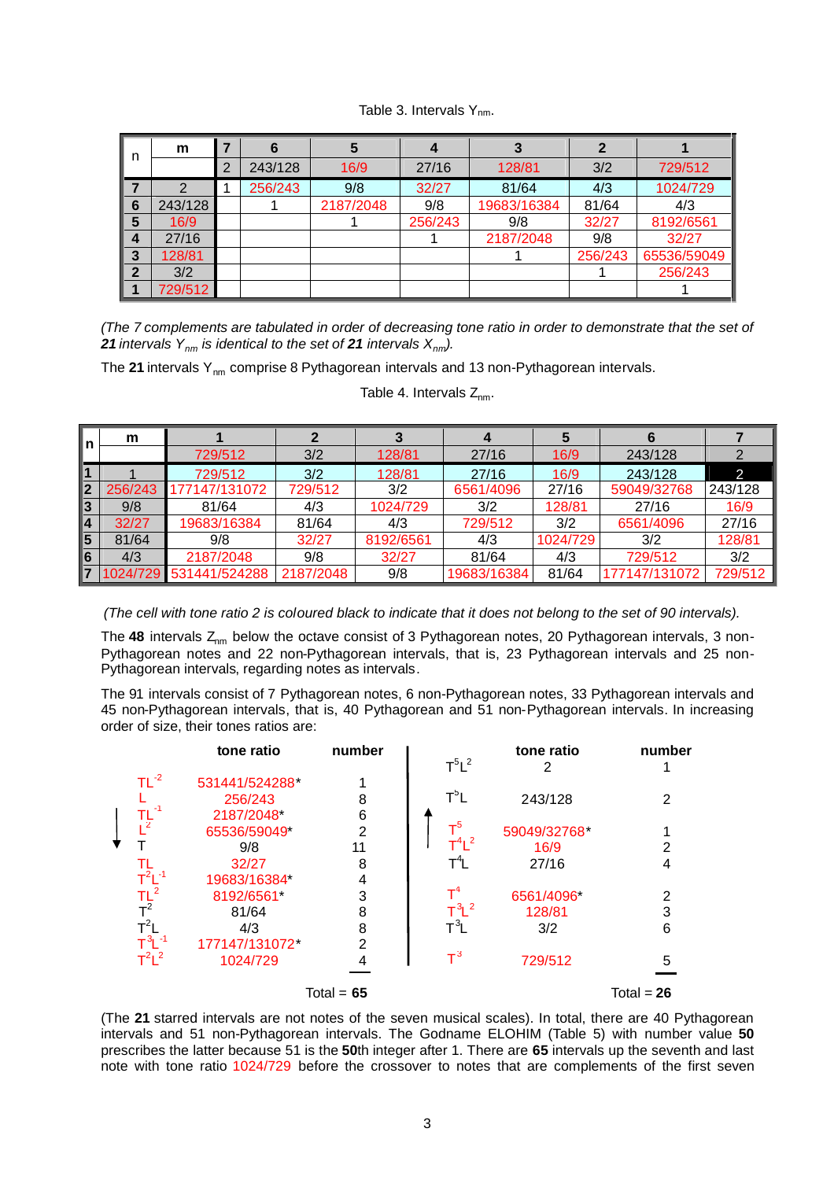#### Table 3. Intervals  $Y_{nm}$ .

|                  | m       | 7 | 6       | 5         |         | 3           | 2       |             |
|------------------|---------|---|---------|-----------|---------|-------------|---------|-------------|
| n                |         | 2 | 243/128 | 16/9      | 27/16   | 128/81      | 3/2     | 729/512     |
| 7                | っ       |   | 256/243 | 9/8       | 32/27   | 81/64       | 4/3     | 1024/729    |
| 6                | 243/128 |   |         | 2187/2048 | 9/8     | 19683/16384 | 81/64   | 4/3         |
| 5                | 16/9    |   |         |           | 256/243 | 9/8         | 32/27   | 8192/6561   |
| $\boldsymbol{4}$ | 27/16   |   |         |           |         | 2187/2048   | 9/8     | 32/27       |
| 3                | 128/81  |   |         |           |         |             | 256/243 | 65536/59049 |
| $\mathbf{2}$     | 3/2     |   |         |           |         |             |         | 256/243     |
|                  | 729/512 |   |         |           |         |             |         |             |

*(The 7 complements are tabulated in order of decreasing tone ratio in order to demonstrate that the set of* **21** *intervals*  $Y_{nm}$  *is identical to the set of* **21** *intervals*  $X_{nm}$ *).* 

The 21 intervals Y<sub>nm</sub> comprise 8 Pythagorean intervals and 13 non-Pythagorean intervals.

|   | m        |               |           |           |             |          |               |         |
|---|----------|---------------|-----------|-----------|-------------|----------|---------------|---------|
|   |          | 729/512       | 3/2       | 128/81    | 27/16       | 16/9     | 243/128       |         |
|   |          | 729/512       | 3/2       | 128/81    | 27/16       | 16/9     | 243/128       | 2       |
|   | 256/243  | 177147/131072 | 729/512   | 3/2       | 6561/4096   | 27/16    | 59049/32768   | 243/128 |
|   | 9/8      | 81/64         | 4/3       | 1024/729  | 3/2         | 128/81   | 27/16         | 16/9    |
|   | 32/27    | 19683/16384   | 81/64     | 4/3       | 729/512     | 3/2      | 6561/4096     | 27/16   |
| C | 81/64    | 9/8           | 32/27     | 8192/6561 | 4/3         | 1024/729 | 3/2           | 128/81  |
|   | 4/3      | 2187/2048     | 9/8       | 32/27     | 81/64       | 4/3      | 729/512       | 3/2     |
|   | 1024/729 | 531441/524288 | 2187/2048 | 9/8       | 19683/16384 | 81/64    | 177147/131072 | 729/512 |

Table 4. Intervals  $Z_{nm}$ .

*(The cell with tone ratio 2 is coloured black to indicate that it does not belong to the set of 90 intervals).*

The 48 intervals Z<sub>nm</sub> below the octave consist of 3 Pythagorean notes, 20 Pythagorean intervals, 3 non-Pythagorean notes and 22 non-Pythagorean intervals, that is, 23 Pythagorean intervals and 25 non-Pythagorean intervals, regarding notes as intervals.

The 91 intervals consist of 7 Pythagorean notes, 6 non-Pythagorean notes, 33 Pythagorean intervals and 45 non-Pythagorean intervals, that is, 40 Pythagorean and 51 non-Pythagorean intervals. In increasing order of size, their tones ratios are:

| $T^5L^2$<br>2<br>$TL^{-2}$<br>531441/524288*<br>1<br>$T^5L$<br>8<br>243/128<br>256/243<br>$\mathsf{TL}^{\text{-1}}$<br>6<br>2187/2048<br>$T^5$<br>$\overline{2}$<br>59049/32768*<br>65536/59049*<br>$T^4L^2$<br>16/9<br>9/8<br>11<br>$T^4L$<br>8<br>27/16<br>32/27<br>TL<br>$T^2L^{-1}$<br>19683/16384*<br>4<br>$\begin{array}{c}\n\mathsf{T} \mathsf{L}^2 \\ \mathsf{T}^2 \\ \mathsf{T}^2\n\mathsf{L} \\ \mathsf{T}^3 \mathsf{L}^{-1}\n\end{array}$<br>$\textsf{T}^{\textsf{4}}$<br>3<br>8192/6561<br>6561/4096<br>$T^3L^2$<br>8<br>128/81<br>81/64<br>$T^3L$<br>8<br>4/3<br>3/2<br>$\overline{2}$<br>177147/131072* | number |
|-----------------------------------------------------------------------------------------------------------------------------------------------------------------------------------------------------------------------------------------------------------------------------------------------------------------------------------------------------------------------------------------------------------------------------------------------------------------------------------------------------------------------------------------------------------------------------------------------------------------------|--------|
|                                                                                                                                                                                                                                                                                                                                                                                                                                                                                                                                                                                                                       |        |
|                                                                                                                                                                                                                                                                                                                                                                                                                                                                                                                                                                                                                       | 2      |
|                                                                                                                                                                                                                                                                                                                                                                                                                                                                                                                                                                                                                       |        |
|                                                                                                                                                                                                                                                                                                                                                                                                                                                                                                                                                                                                                       |        |
|                                                                                                                                                                                                                                                                                                                                                                                                                                                                                                                                                                                                                       | 2      |
|                                                                                                                                                                                                                                                                                                                                                                                                                                                                                                                                                                                                                       | 4      |
|                                                                                                                                                                                                                                                                                                                                                                                                                                                                                                                                                                                                                       |        |
|                                                                                                                                                                                                                                                                                                                                                                                                                                                                                                                                                                                                                       | 2      |
|                                                                                                                                                                                                                                                                                                                                                                                                                                                                                                                                                                                                                       | 3      |
|                                                                                                                                                                                                                                                                                                                                                                                                                                                                                                                                                                                                                       | 6      |
|                                                                                                                                                                                                                                                                                                                                                                                                                                                                                                                                                                                                                       |        |
| $T^3$<br>$T^2L^2$<br>1024/729<br>4<br>729/512                                                                                                                                                                                                                                                                                                                                                                                                                                                                                                                                                                         | 5      |
| Total = $65$<br>Total = $26$                                                                                                                                                                                                                                                                                                                                                                                                                                                                                                                                                                                          |        |

(The **21** starred intervals are not notes of the seven musical scales). In total, there are 40 Pythagorean intervals and 51 non-Pythagorean intervals. The Godname ELOHIM (Table 5) with number value **50** prescribes the latter because 51 is the **50**th integer after 1. There are **65** intervals up the seventh and last note with tone ratio 1024/729 before the crossover to notes that are complements of the first seven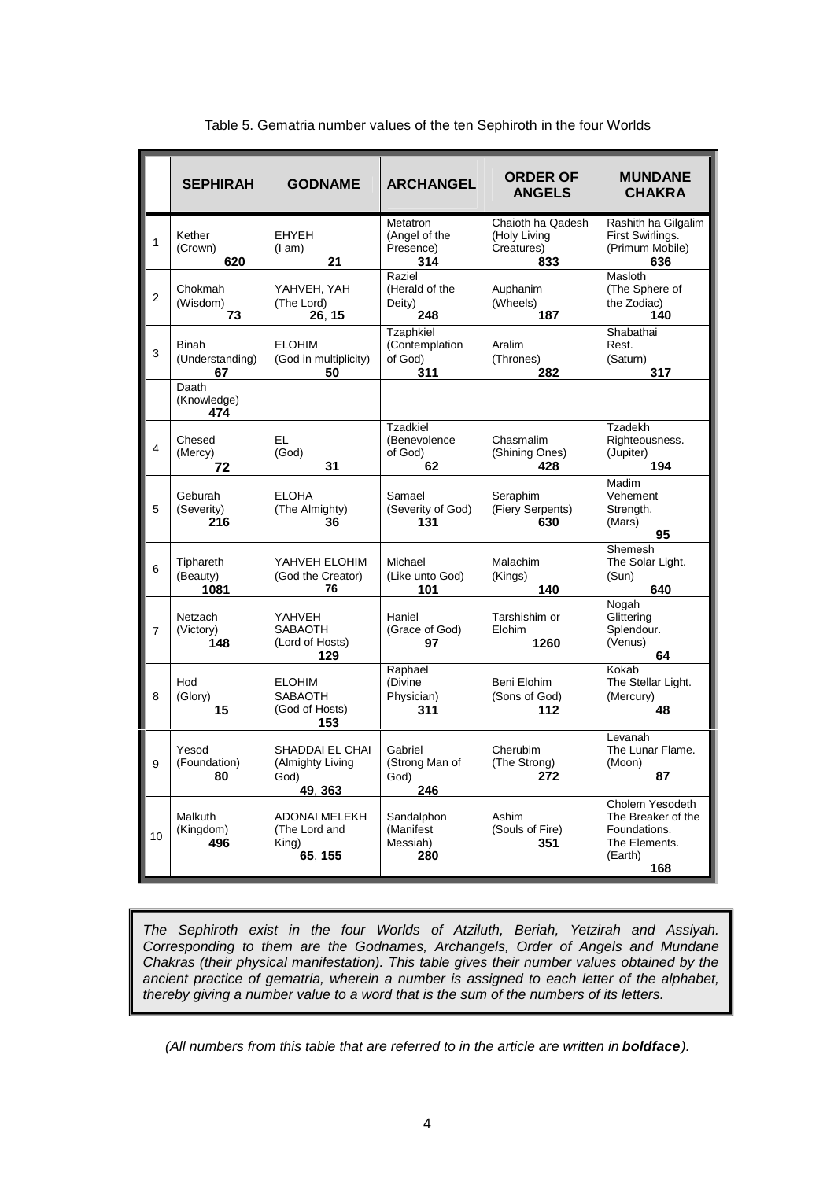|                | <b>SEPHIRAH</b>                       | <b>GODNAME</b>                                            | <b>ARCHANGEL</b>                                 | <b>ORDER OF</b><br><b>ANGELS</b>                       | <b>MUNDANE</b><br><b>CHAKRA</b>                                                          |
|----------------|---------------------------------------|-----------------------------------------------------------|--------------------------------------------------|--------------------------------------------------------|------------------------------------------------------------------------------------------|
| 1              | Kether<br>(Crown)<br>620              | <b>EHYEH</b><br>(1 am)<br>21                              | Metatron<br>(Angel of the<br>Presence)<br>314    | Chaioth ha Qadesh<br>(Holy Living<br>Creatures)<br>833 | Rashith ha Gilgalim<br>First Swirlings.<br>(Primum Mobile)<br>636                        |
| $\overline{2}$ | Chokmah<br>(Wisdom)<br>73             | YAHVEH, YAH<br>(The Lord)<br>26, 15                       | Raziel<br>(Herald of the<br>Deity)<br>248        | Auphanim<br>(Wheels)<br>187                            | Masloth<br>(The Sphere of<br>the Zodiac)<br>140                                          |
| 3              | <b>Binah</b><br>(Understanding)<br>67 | <b>ELOHIM</b><br>(God in multiplicity)<br>50              | Tzaphkiel<br>(Contemplation<br>of God)<br>311    | Aralim<br>(Thrones)<br>282                             | Shabathai<br>Rest.<br>(Saturn)<br>317                                                    |
|                | Daath<br>(Knowledge)<br>474           |                                                           |                                                  |                                                        |                                                                                          |
| 4              | Chesed<br>(Mercy)<br>72               | EL.<br>(God)<br>31                                        | <b>Tzadkiel</b><br>(Benevolence<br>of God)<br>62 | Chasmalim<br>(Shining Ones)<br>428                     | Tzadekh<br>Righteousness.<br>(Jupiter)<br>194                                            |
| 5              | Geburah<br>(Severity)<br>216          | <b>ELOHA</b><br>(The Almighty)<br>36                      | Samael<br>(Severity of God)<br>131               | Seraphim<br>(Fiery Serpents)<br>630                    | Madim<br>Vehement<br>Strength.<br>(Mars)<br>95                                           |
| 6              | Tiphareth<br>(Beauty)<br>1081         | YAHVEH ELOHIM<br>(God the Creator)<br>76                  | Michael<br>(Like unto God)<br>101                | <b>Malachim</b><br>(Kings)<br>140                      | Shemesh<br>The Solar Light.<br>(Sun)<br>640                                              |
| $\overline{7}$ | Netzach<br>(Victory)<br>148           | YAHVEH<br><b>SABAOTH</b><br>(Lord of Hosts)<br>129        | Haniel<br>(Grace of God)<br>97                   | Tarshishim or<br>Elohim<br>1260                        | Nogah<br>Glittering<br>Splendour.<br>(Venus)<br>64                                       |
| 8              | Hod<br>(Glory)<br>15                  | <b>ELOHIM</b><br><b>SABAOTH</b><br>(God of Hosts)<br>153  | Raphael<br>(Divine<br>Physician)<br>311          | Beni Elohim<br>(Sons of God)<br>112                    | Kokab<br>The Stellar Light.<br>(Mercury)<br>48                                           |
| 9              | Yesod<br>(Foundation)<br>80           | SHADDAI EL CHAI<br>(Almighty Living<br>God)<br>49, 363    | Gabriel<br>(Strong Man of<br>God)<br>246         | Cherubim<br>(The Strong)<br>272                        | Levanah<br>The Lunar Flame.<br>(Moon)<br>87                                              |
| 10             | Malkuth<br>(Kingdom)<br>496           | <b>ADONAI MELEKH</b><br>(The Lord and<br>King)<br>65, 155 | Sandalphon<br>(Manifest<br>Messiah)<br>280       | Ashim<br>(Souls of Fire)<br>351                        | Cholem Yesodeth<br>The Breaker of the<br>Foundations.<br>The Elements.<br>(Earth)<br>168 |

Table 5. Gematria number values of the ten Sephiroth in the four Worlds

*The Sephiroth exist in the four Worlds of Atziluth, Beriah, Yetzirah and Assiyah. Corresponding to them are the Godnames, Archangels, Order of Angels and Mundane Chakras (their physical manifestation). This table gives their number values obtained by the ancient practice of gematria, wherein a number is assigned to each letter of the alphabet, thereby giving a number value to a word that is the sum of the numbers of its letters.*

*(All numbers from this table that are referred to in the article are written in boldface).*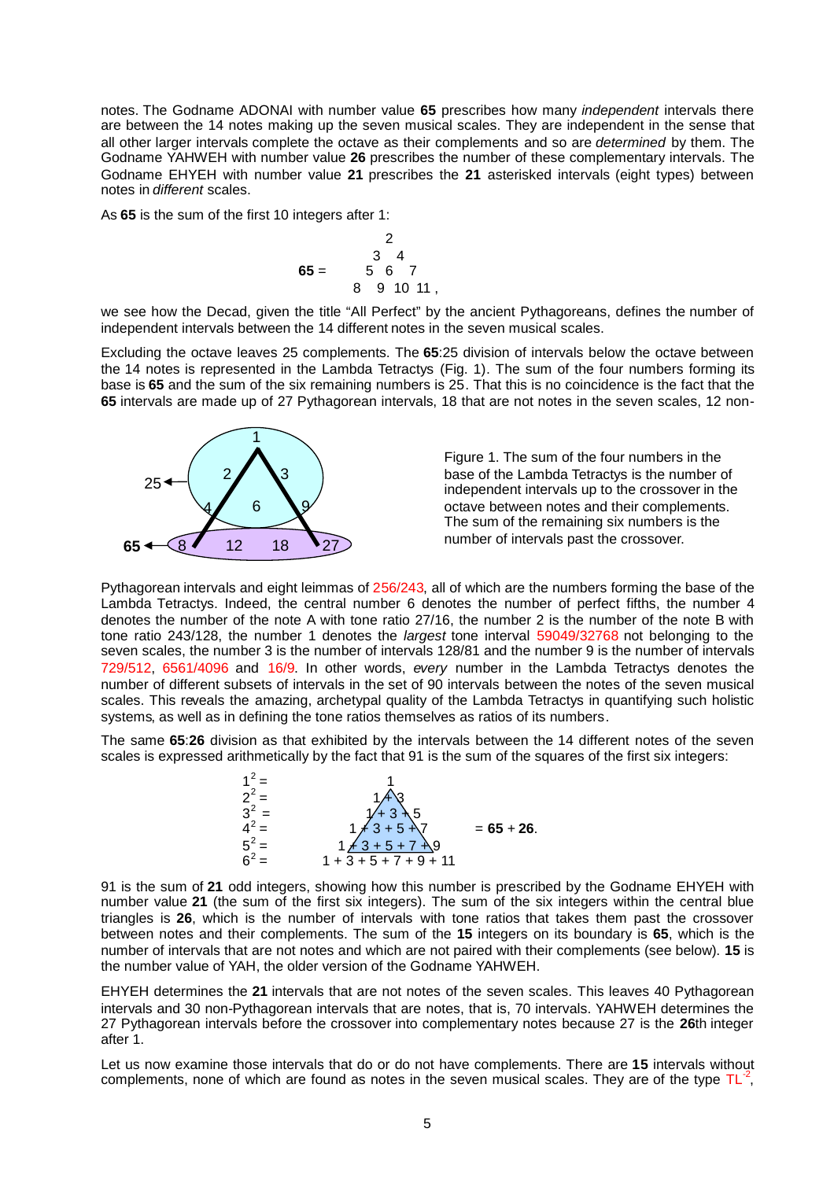notes. The Godname ADONAI with number value **65** prescribes how many *independent* intervals there are between the 14 notes making up the seven musical scales. They are independent in the sense that all other larger intervals complete the octave as their complements and so are *determined* by them. The Godname YAHWEH with number value **26** prescribes the number of these complementary intervals. The Godname EHYEH with number value **21** prescribes the **21** asterisked intervals (eight types) between notes in *different* scales.

As **65** is the sum of the first 10 integers after 1:

$$
65 = \begin{array}{c} 2 \\ 3 & 4 \\ 5 & 6 & 7 \\ 8 & 9 & 10 & 11 \end{array}
$$

we see how the Decad, given the title "All Perfect" by the ancient Pythagoreans, defines the number of independent intervals between the 14 different notes in the seven musical scales.

Excluding the octave leaves 25 complements. The **65**:25 division of intervals below the octave between the 14 notes is represented in the Lambda Tetractys (Fig. 1). The sum of the four numbers forming its base is **65** and the sum of the six remaining numbers is 25. That this is no coincidence is the fact that the **65** intervals are made up of 27 Pythagorean intervals, 18 that are not notes in the seven scales, 12 non-



Figure 1. The sum of the four numbers in the base of the Lambda Tetractys is the number of independent intervals up to the crossover in the octave between notes and their complements. The sum of the remaining six numbers is the number of intervals past the crossover.

Pythagorean intervals and eight leimmas of 256/243, all of which are the numbers forming the base of the Lambda Tetractys. Indeed, the central number 6 denotes the number of perfect fifths, the number 4 denotes the number of the note A with tone ratio 27/16, the number 2 is the number of the note B with tone ratio 243/128, the number 1 denotes the *largest* tone interval 59049/32768 not belonging to the seven scales, the number 3 is the number of intervals 128/81 and the number 9 is the number of intervals 729/512, 6561/4096 and 16/9. In other words, *every* number in the Lambda Tetractys denotes the number of different subsets of intervals in the set of 90 intervals between the notes of the seven musical scales. This reveals the amazing, archetypal quality of the Lambda Tetractys in quantifying such holistic systems, as well as in defining the tone ratios themselves as ratios of its numbers.

The same **65**:**26** division as that exhibited by the intervals between the 14 different notes of the seven scales is expressed arithmetically by the fact that 91 is the sum of the squares of the first six integers:



91 is the sum of **21** odd integers, showing how this number is prescribed by the Godname EHYEH with number value **21** (the sum of the first six integers). The sum of the six integers within the central blue triangles is **26**, which is the number of intervals with tone ratios that takes them past the crossover between notes and their complements. The sum of the **15** integers on its boundary is **65**, which is the number of intervals that are not notes and which are not paired with their complements (see below). **15** is the number value of YAH, the older version of the Godname YAHWEH.

EHYEH determines the **21** intervals that are not notes of the seven scales. This leaves 40 Pythagorean intervals and 30 non-Pythagorean intervals that are notes, that is, 70 intervals. YAHWEH determines the 27 Pythagorean intervals before the crossover into complementary notes because 27 is the **26**th integer after 1.

Let us now examine those intervals that do or do not have complements. There are **15** intervals without complements, none of which are found as notes in the seven musical scales. They are of the type  $TL^{-2}$ ,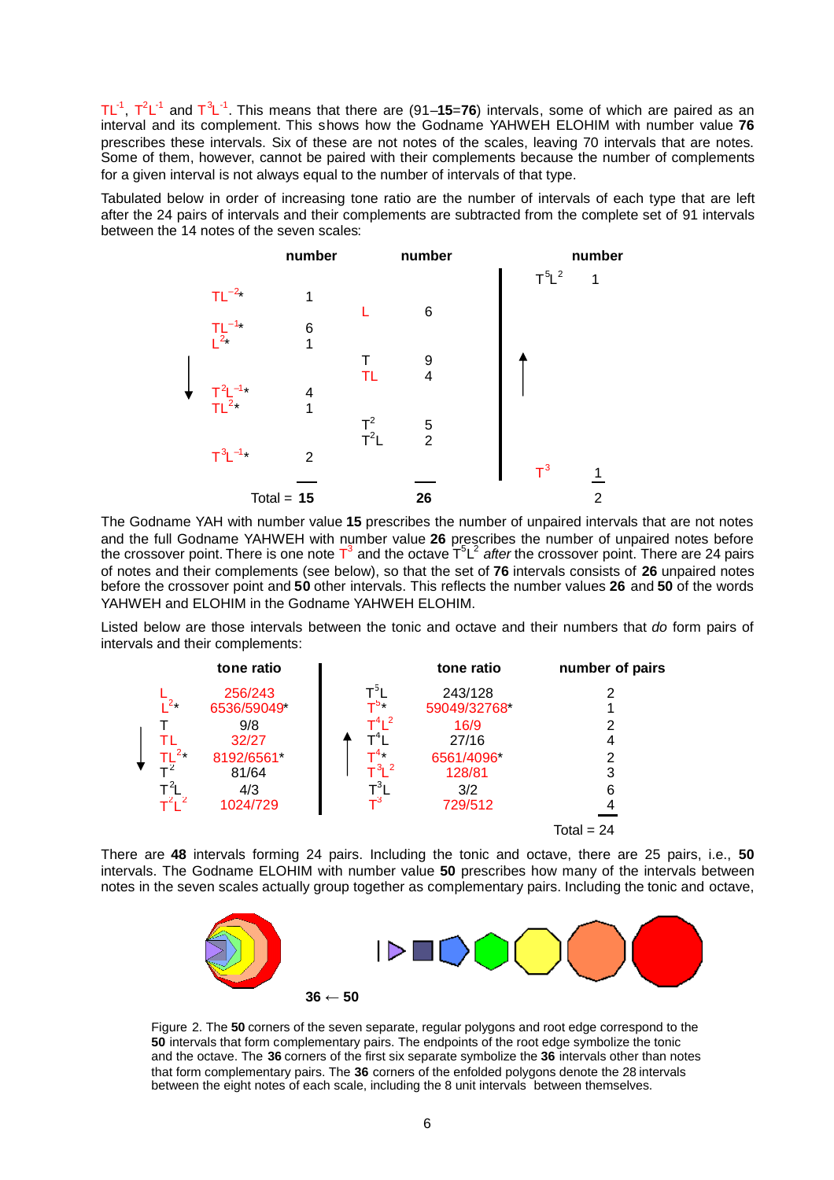TL<sup>-1</sup>, T<sup>2</sup>L<sup>-1</sup> and T<sup>3</sup>L<sup>-1</sup>. This means that there are (91–**15=76**) intervals, some of which are paired as an interval and its complement. This shows how the Godname YAHWEH ELOHIM with number value **76** prescribes these intervals. Six of these are not notes of the scales, leaving 70 intervals that are notes. Some of them, however, cannot be paired with their complements because the number of complements for a given interval is not always equal to the number of intervals of that type.

Tabulated below in order of increasing tone ratio are the number of intervals of each type that are left after the 24 pairs of intervals and their complements are subtracted from the complete set of 91 intervals between the 14 notes of the seven scales:



The Godname YAH with number value **15** prescribes the number of unpaired intervals that are not notes and the full Godname YAHWEH with number value **26** prescribes the number of unpaired notes before the crossover point. There is one note T<sup>3</sup> and the octave T<sup>5</sup>L<sup>2</sup> after the crossover point. There are 24 pairs of notes and their complements (see below), so that the set of **76** intervals consists of **26** unpaired notes before the crossover point and **50** other intervals. This reflects the number values **26** and **50** of the words YAHWEH and ELOHIM in the Godname YAHWEH ELOHIM.

Listed below are those intervals between the tonic and octave and their numbers that *do* form pairs of intervals and their complements:



There are **48** intervals forming 24 pairs. Including the tonic and octave, there are 25 pairs, i.e., **50** intervals. The Godname ELOHIM with number value **50** prescribes how many of the intervals between notes in the seven scales actually group together as complementary pairs. Including the tonic and octave,



Figure 2. The **50** corners of the seven separate, regular polygons and root edge correspond to the **50** intervals that form complementary pairs. The endpoints of the root edge symbolize the tonic and the octave. The **36** corners of the first six separate symbolize the **36** intervals other than notes that form complementary pairs. The **36** corners of the enfolded polygons denote the 28 intervals between the eight notes of each scale, including the 8 unit intervals between themselves.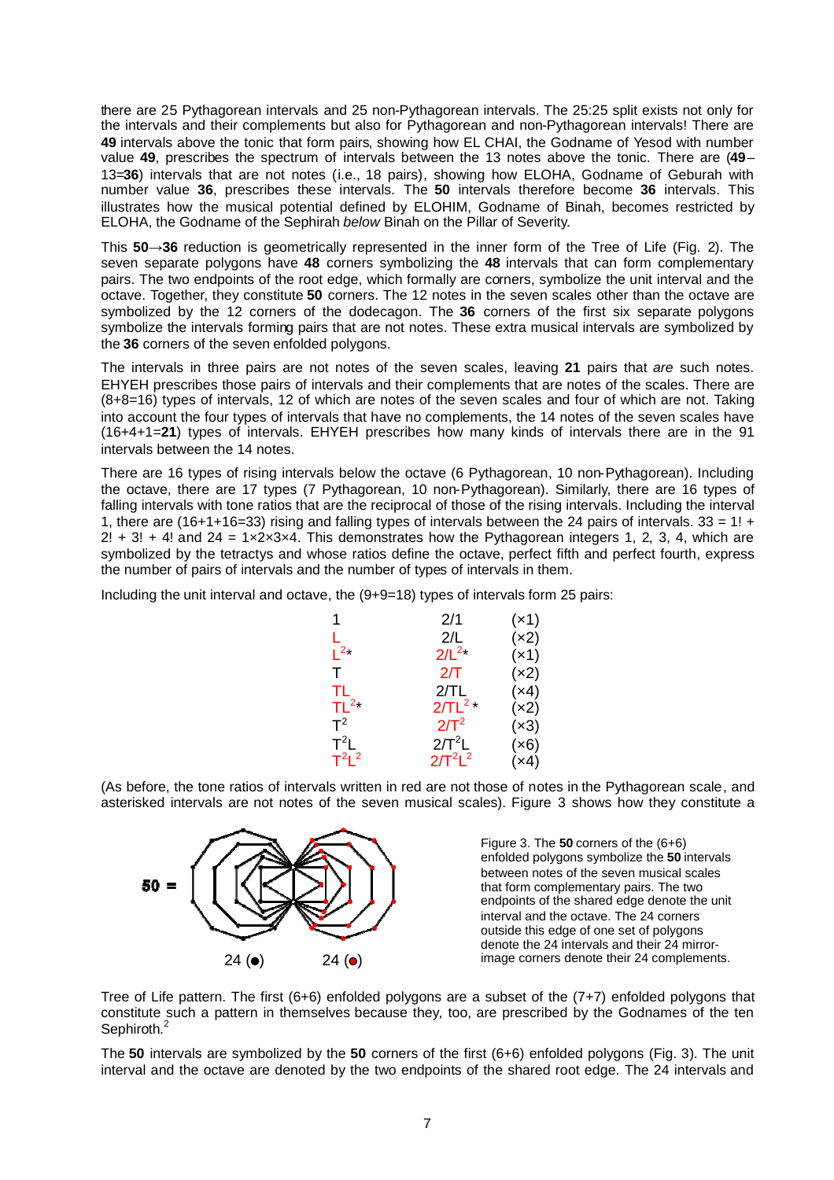there are 25 Pythagorean intervals and 25 non-Pythagorean intervals. The 25:25 split exists not only for the intervals and their complements but also for Pythagorean and non-Pythagorean intervals! There are **49** intervals above the tonic that form pairs, showing how EL CHAI, the Godname of Yesod with number value **49**, prescribes the spectrum of intervals between the 13 notes above the tonic. There are (**49**– 13=**36**) intervals that are not notes (i.e., 18 pairs), showing how ELOHA, Godname of Geburah with number value **36**, prescribes these intervals. The **50** intervals therefore become **36** intervals. This illustrates how the musical potential defined by ELOHIM, Godname of Binah, becomes restricted by ELOHA, the Godname of the Sephirah *below* Binah on the Pillar of Severity.

This **50**→**36** reduction is geometrically represented in the inner form of the Tree of Life (Fig. 2). The seven separate polygons have **48** corners symbolizing the **48** intervals that can form complementary pairs. The two endpoints of the root edge, which formally are corners, symbolize the unit interval and the octave. Together, they constitute **50** corners. The 12 notes in the seven scales other than the octave are symbolized by the 12 corners of the dodecagon. The **36** corners of the first six separate polygons symbolize the intervals forming pairs that are not notes. These extra musical intervals are symbolized by the **36** corners of the seven enfolded polygons.

The intervals in three pairs are not notes of the seven scales, leaving **21** pairs that *are* such notes. EHYEH prescribes those pairs of intervals and their complements that are notes of the scales. There are (8+8=16) types of intervals, 12 of which are notes of the seven scales and four of which are not. Taking into account the four types of intervals that have no complements, the 14 notes of the seven scales have (16+4+1=**21**) types of intervals. EHYEH prescribes how many kinds of intervals there are in the 91 intervals between the 14 notes.

There are 16 types of rising intervals below the octave (6 Pythagorean, 10 non-Pythagorean). Including the octave, there are 17 types (7 Pythagorean, 10 non-Pythagorean). Similarly, there are 16 types of falling intervals with tone ratios that are the reciprocal of those of the rising intervals. Including the interval 1, there are (16+1+16=33) rising and falling types of intervals between the 24 pairs of intervals.  $33 = 1! +$  $2! + 3! + 4!$  and  $24 = 1 \times 2 \times 3 \times 4$ . This demonstrates how the Pythagorean integers 1, 2, 3, 4, which are symbolized by the tetractys and whose ratios define the octave, perfect fifth and perfect fourth, express the number of pairs of intervals and the number of types of intervals in them.

Including the unit interval and octave, the (9+9=18) types of intervals form 25 pairs:

| 1                        | 2/1         | (x1) |
|--------------------------|-------------|------|
| L                        | 2/L         | (x2) |
| $L^{2*}$                 | $2/L^{2*}$  | (x1) |
| т                        | 2/T         | (x2) |
| TL                       | 2/TL        | (x4) |
| $\mathsf{TL}^{2\star}$   | $2/TL^{2*}$ | (x2) |
| $\mathsf{T}^2$           | $2/T^2$     | (x3) |
| $\mathsf{T}^2\mathsf{L}$ | $2/T^2L$    | (x6) |
| $T^2L^2$                 | $2/T^2L^2$  | (x4) |

(As before, the tone ratios of intervals written in red are not those of notes in the Pythagorean scale, and asterisked intervals are not notes of the seven musical scales). Figure 3 shows how they constitute a



Tree of Life pattern. The first (6+6) enfolded polygons are a subset of the (7+7) enfolded polygons that constitute such a pattern in themselves because they, too, are prescribed by the Godnames of the ten Sephiroth.<sup>[2](#page-14-1)</sup>

The **50** intervals are symbolized by the **50** corners of the first (6+6) enfolded polygons (Fig. 3). The unit interval and the octave are denoted by the two endpoints of the shared root edge. The 24 intervals and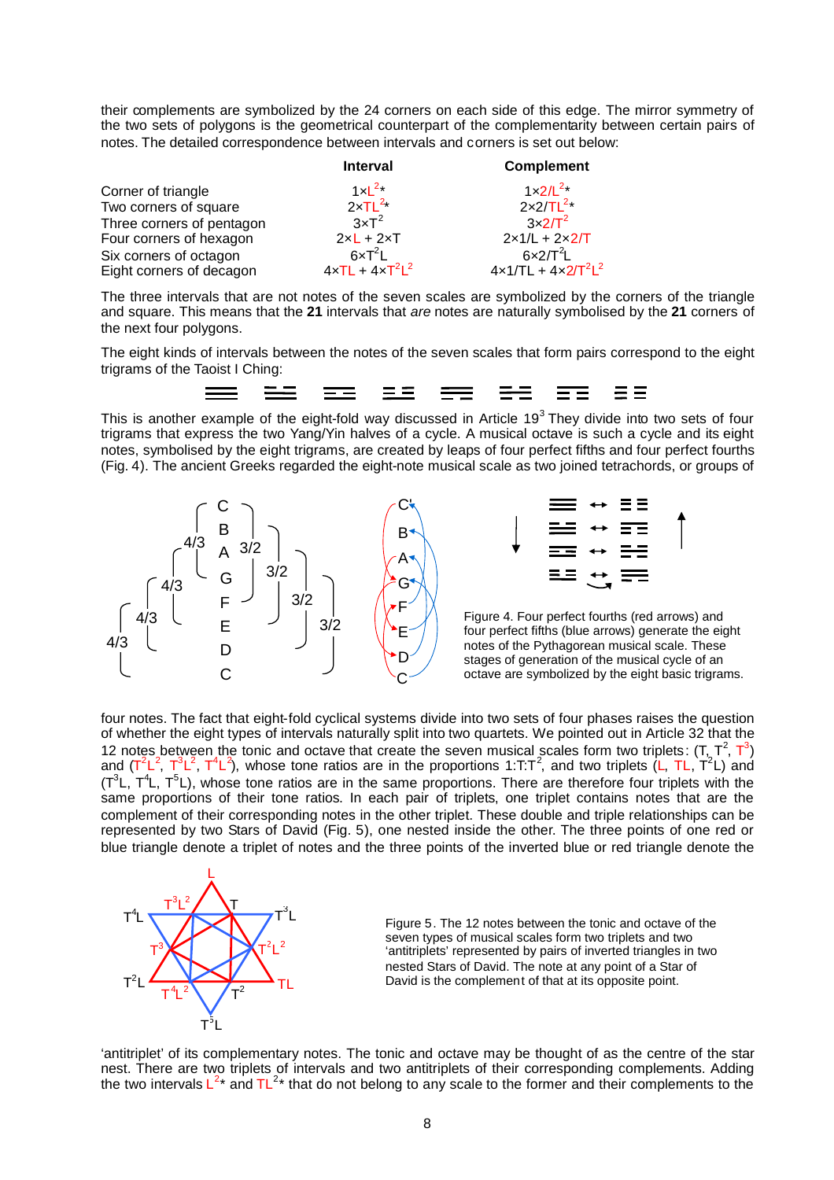their complements are symbolized by the 24 corners on each side of this edge. The mirror symmetry of the two sets of polygons is the geometrical counterpart of the complementarity between certain pairs of notes. The detailed correspondence between intervals and corners is set out below:

|                           | <b>Interval</b>                   | <b>Complement</b>     |
|---------------------------|-----------------------------------|-----------------------|
| Corner of triangle        | $1 \times L^{2}$                  | $1 \times 2/L^{2}$    |
| Two corners of square     | $2xTL^{2x}$                       | $2x2/TL^{2*}$         |
| Three corners of pentagon | $3\times T^2$                     | $3\times2/\Gamma^2$   |
| Four corners of hexagon   | $2xL + 2xT$                       | $2x1/L + 2x2/T$       |
| Six corners of octagon    | $6 \times T^2$ L                  | $6x2/T^2L$            |
| Eight corners of decagon  | $4 \times T L + 4 \times T^2 L^2$ | $4x1/TL + 4x2/T^2L^2$ |

The three intervals that are not notes of the seven scales are symbolized by the corners of the triangle and square. This means that the **21** intervals that *are* notes are naturally symbolised by the **21** corners of the next four polygons.

The eight kinds of intervals between the notes of the seven scales that form pairs correspond to the eight trigrams of the Taoist I Ching:



Thisis another example of the eight-fold way discussed in Article 19<sup>3</sup> They divide into two sets of four trigrams that express the two Yang/Yin halves of a cycle. A musical octave is such a cycle and its eight notes, symbolised by the eight trigrams, are created by leaps of four perfect fifths and four perfect fourths (Fig. 4). The ancient Greeks regarded the eight-note musical scale as two joined tetrachords, or groups of





 $3/2$   $\left(\begin{matrix} 1 & 1 \end{matrix}\right)$  Figure 4. Four perfect fourths (red arrows) and four perfect fifths (blue arrows) generate the eight notes of the Pythagorean musical scale. These stages of generation of the musical cycle of an octave are symbolized by the eight basic trigrams.

four notes. The fact that eight-fold cyclical systems divide into two sets of four phases raises the question of whether the eight types of intervals naturally split into two quartets. We pointed out in Article 32 that the 12 notes between the tonic and octave that create the seven musical scales form two triplets:  $(T, T^2, T^3)$ and (T<sup>2</sup>L<sup>2</sup>, T<sup>3</sup>L<sup>2</sup>, T<sup>4</sup>L<sup>2</sup>), whose tone ratios are in the proportions 1:T:T<sup>2</sup>, and two triplets (L, TL, T<sup>2</sup>L) and  $(T^3L, T^4L, T^5L)$ , whose tone ratios are in the same proportions. There are therefore four triplets with the same proportions of their tone ratios. In each pair of triplets, one triplet contains notes that are the complement of their corresponding notes in the other triplet. These double and triple relationships can be represented by two Stars of David (Fig. 5), one nested inside the other. The three points of one red or blue triangle denote a triplet of notes and the three points of the inverted blue or red triangle denote the



Figure 5. The 12 notes between the tonic and octave of the seven types of musical scales form two triplets and two 'antitriplets' represented by pairs of inverted triangles in two nested Stars of David. The note at any point of a Star of David is the complement of that at its opposite point.

'antitriplet' of its complementary notes. The tonic and octave may be thought of as the centre of the star nest. There are two triplets of intervals and two antitriplets of their corresponding complements. Adding the two intervals  $L^{2*}$  and TL<sup>2\*</sup> that do not belong to any scale to the former and their complements to the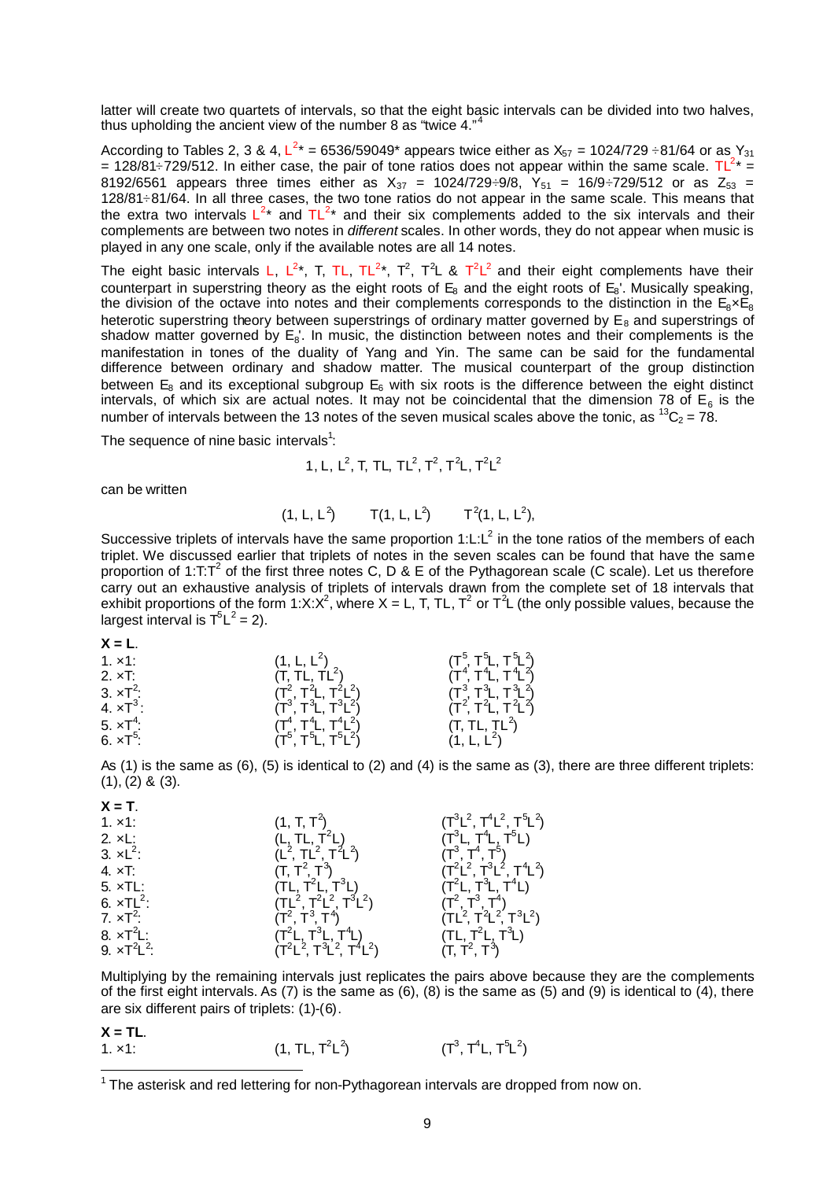latter will create two quartets of intervals, so that the eight basic intervals can be divided into two halves, thusupholding the ancient view of the number  $8$  as "twice  $4$ ."

According to Tables 2, 3 & 4, L<sup>2</sup>\* = 6536/59049\* appears twice either as X<sub>57</sub> = 1024/729 ÷81/64 or as Y<sub>31</sub> = 128/81–729/512. In either case, the pair of tone ratios does not appear within the same scale.  $TL^{2*}$  = 8192/6561 appears three times either as  $X_{37}$  = 1024/729÷9/8,  $Y_{51}$  = 16/9÷729/512 or as Z $_{53}$  = 128/81÷81/64. In all three cases, the two tone ratios do not appear in the same scale. This means that the extra two intervals  $L^{2*}$  and  $TL^{2*}$  and their six complements added to the six intervals and their complements are between two notes in *different* scales. In other words, they do not appear when music is played in any one scale, only if the available notes are all 14 notes.

The eight basic intervals L, L<sup>2\*</sup>, T, TL, TL<sup>2\*</sup>, T<sup>2</sup>, T<sup>2</sup>L & T<sup>2</sup>L<sup>2</sup> and their eight complements have their counterpart in superstring theory as the eight roots of  $E_8$  and the eight roots of  $E_8$ . Musically speaking, the division of the octave into notes and their complements corresponds to the distinction in the  $E_8 \times E_8$ heterotic superstring theory between superstrings of ordinary matter governed by  $E_8$  and superstrings of shadow matter governed by  $E_8$ . In music, the distinction between notes and their complements is the manifestation in tones of the duality of Yang and Yin. The same can be said for the fundamental difference between ordinary and shadow matter. The musical counterpart of the group distinction between  $E_8$  and its exceptional subgroup  $E_6$  with six roots is the difference between the eight distinct intervals, of which six are actual notes. It may not be coincidental that the dimension 78 of  $\mathsf{E}_6$  is the number of intervals between the 13 notes of the seven musical scales above the tonic, as  ${}^{13}C_2 = 78$ .

The sequence of nine basic intervals<sup>1</sup>[:](#page-8-0)

1, L, 
$$
L^2
$$
, T, T<sub>L</sub>,  $TL^2$ ,  $T^2$ ,  $T^2L$ ,  $T^2L^2$ 

can be written

 $(1, L, L^2)$   $T(1, L, L^2)$   $T^2(1, L, L^2)$ 

Successive triplets of intervals have the same proportion 1:L:L<sup>2</sup> in the tone ratios of the members of each triplet. We discussed earlier that triplets of notes in the seven scales can be found that have the same proportion of 1:T:T<sup>2</sup> of the first three notes C, D & E of the Pythagorean scale (C scale). Let us therefore carry out an exhaustive analysis of triplets of intervals drawn from the complete set of 18 intervals that exhibit proportions of the form 1:X:X<sup>2</sup>, where X = L, T, TL, T<sup>2</sup> or T<sup>2</sup>L (the only possible values, because the largest interval is  $T^5L^2 = 2$ ).

**X = T**.

 $X = TL$ 

| $1. \times 1.$    | $(1, L, L^2)$             | $(T^5, T^5L, T^5L^2)$       |
|-------------------|---------------------------|-----------------------------|
| $2. \times T$ :   | (T, TL, TL <sup>2</sup> ) | $(T^4, T^4L, T^4L^2)$       |
| 3. $\times T^2$ : | $(T^2, T^2L, T^2L^2)$     | $(T^3, T^3L, T^3L^2)$       |
| 4. $\times T^3$ : | $(T^3, T^3L, T^3L^2)$     | $(T^2, T^2, T^2, T^2, T^2)$ |
| 5. $\times T^4$ : | $(T^4, T^4L, T^4L^2)$     | (T, TL, TL <sup>2</sup> )   |
| 6. $\times T^5$ : | $(T^5, T^5L, T^5L^2)$     | $(1, L, L^2)$               |

As (1) is the same as (6), (5) is identical to (2) and (4) is the same as (3), there are three different triplets: (1), (2) & (3).

| $\lambda = 1$ .      |                                                                                       |                                                           |
|----------------------|---------------------------------------------------------------------------------------|-----------------------------------------------------------|
| 1. x1:               | $(1, T, T^2)$                                                                         | $(T^3L^2, T^4L^2, T^5L^2)$                                |
| 2. xL:               | $(L, TL, T2L)$<br>(L <sup>2</sup> , TL <sup>2</sup> , T <sup>2</sup> L <sup>2</sup> ) | $(T^3L, T^4L, T^5L)$                                      |
| 3. $\times L^2$ :    |                                                                                       | $(T^3, T^4, T^5)$                                         |
| 4. $\times$ T:       | $(T, T^2, T^3)$                                                                       | $(T^2L^2, T^3L^2, T^4L^2)$                                |
| 5. xTL:              | (TL, T <sup>2</sup> L, T <sup>3</sup> L)                                              | $(T^2L, T^3L, T^4L)$                                      |
| 6. $\times T L^2$ :  | $(TL2, T2L2, T3L2)$                                                                   | $(T^2, T^3, T^4)$                                         |
| 7. $\times T^2$ :    | $(T^2, T^3, T^4)$                                                                     | $(TL^2, T^2L^2, T^3L^2)$                                  |
| 8. $\times T^2L$ :   | (T <sup>2</sup> L, T <sup>3</sup> L, T <sup>4</sup> L)                                | $(TL, T2L, T3L)$<br>(T, T <sup>2</sup> , T <sup>3</sup> ) |
| 9. $\times T^2L^2$ : | $(T^{2}L^{2}, T^{3}L^{2}, T^{4}L^{2})$                                                |                                                           |
|                      |                                                                                       |                                                           |

Multiplying by the remaining intervals just replicates the pairs above because they are the complements of the first eight intervals. As (7) is the same as (6), (8) is the same as (5) and (9) is identical to (4), there are six different pairs of triplets: (1)-(6).

| .              |                                         |                       |
|----------------|-----------------------------------------|-----------------------|
| $1. \times 1.$ | (1, TL, T <sup>2</sup> L <sup>2</sup> ) | $(T^3, T^4L, T^5L^2)$ |

<span id="page-8-0"></span> $1$  The asterisk and red lettering for non-Pythagorean intervals are dropped from now on.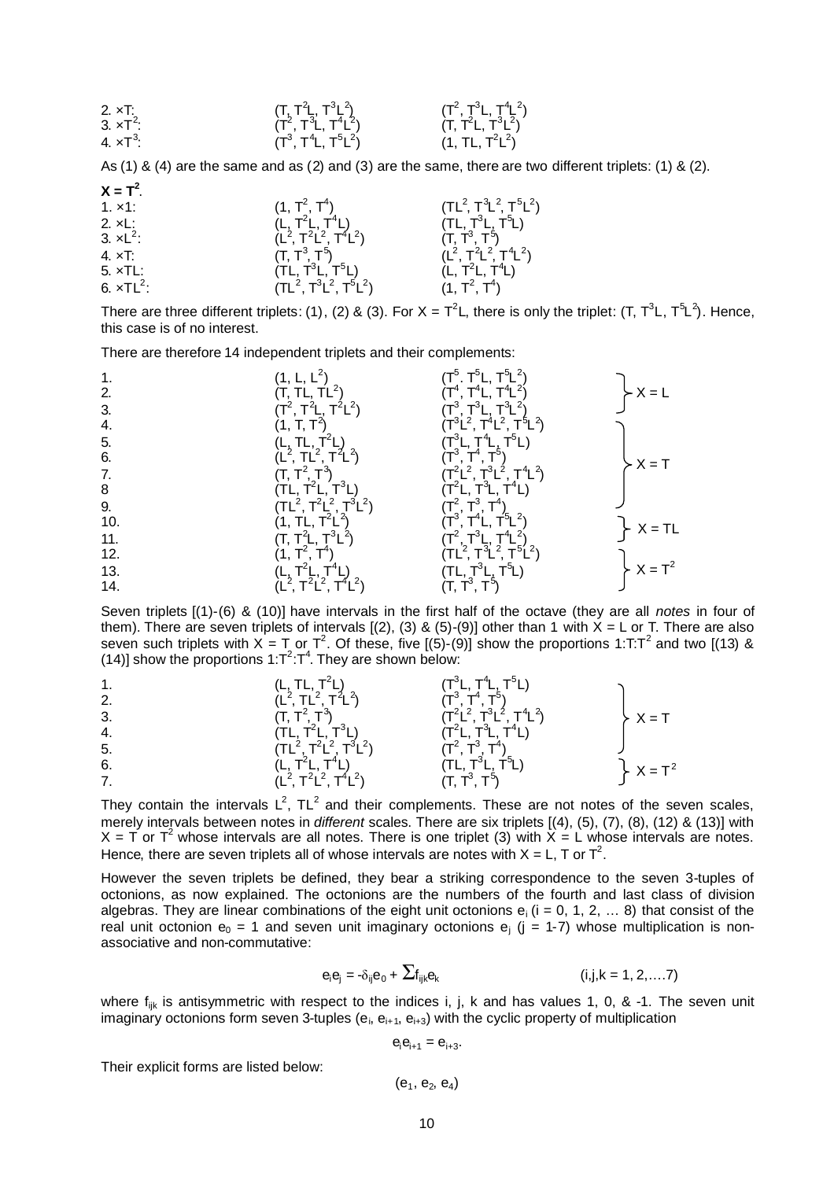2. ×T: (T, T<sup>2</sup> L, T<sup>3</sup> L 2 ) (T<sup>2</sup> , T<sup>3</sup> L, T<sup>4</sup> L 2 ) 3. ×T<sup>2</sup> : (T<sup>2</sup> , T<sup>3</sup> L, T<sup>4</sup> L 2 ) (T, T<sup>2</sup> L, T<sup>3</sup> L 2 ) 4. ×T<sup>3</sup> : (T<sup>3</sup> , T<sup>4</sup> L, T<sup>5</sup> L 2 ) (1, TL, T<sup>2</sup> L 2 )

As (1) & (4) are the same and as (2) and (3) are the same, there are two different triplets: (1) & (2).

| $X = T^2$ .        |                                                                                                      |                                         |
|--------------------|------------------------------------------------------------------------------------------------------|-----------------------------------------|
| 1. x1:             | $(1, T^2, T^4)$                                                                                      | $(TL^2, T^3L^2, T^5L^2)$                |
| 2. $xL$ :          | $(L, T2L, T4L)$<br>(L <sup>2</sup> , T <sup>2</sup> L <sup>2</sup> , T <sup>4</sup> L <sup>2</sup> ) | $(TL, T^3L, T^5L)$                      |
| 3. $\times L^2$ :  |                                                                                                      | $(T, T^3, T^5)$                         |
| $4. \times T$ :    | $(T, T^3, T^5)$                                                                                      | $(L^2, T^2L^2, T^4L^2)$                 |
| $5. xTL$ :         | (TL, T <sup>3</sup> L, T <sup>5</sup> L)                                                             | (L, T <sup>2</sup> L, T <sup>4</sup> L) |
| 6. $\times TL^2$ : | $(TL2, T3L2, T5L2)$                                                                                  | $(1, T^2, T^4)$                         |
|                    |                                                                                                      |                                         |

There are three different triplets: (1), (2) & (3). For X = T<sup>2</sup>L, there is only the triplet: (T, T<sup>3</sup>L, T<sup>5</sup>L<sup>2</sup>). Hence, this case is of no interest.

There are therefore 14 independent triplets and their complements:

|     |                                                                                                                                                                           | $T^5$ . T $^5$ L, T $^5$ L <sup>2</sup> )                                                                   |               |
|-----|---------------------------------------------------------------------------------------------------------------------------------------------------------------------------|-------------------------------------------------------------------------------------------------------------|---------------|
| 2.  | $(T, TL, TL^2)$                                                                                                                                                           |                                                                                                             | $\succ$ X = L |
| 3.  | $(T^2, T^2L, T^2L^2)$                                                                                                                                                     |                                                                                                             |               |
| 4.  |                                                                                                                                                                           | $(T^4, T^4L, T^4L^2)$<br>$(T^3, T^3L, T^3L^2)$<br>$(T^3L^2, T^4L^2, T^5L^2)$                                |               |
| 5.  | (L, TL, T <sup>2</sup> L)<br>(L <sup>2</sup> , TL <sup>2</sup> , T <sup>2</sup> L <sup>2</sup> )                                                                          | $(T^3L, T^4L, T^5L)$<br>$(T^3, T^4, T^5)$                                                                   |               |
| 6.  |                                                                                                                                                                           |                                                                                                             | $-X = T$      |
| 7.  |                                                                                                                                                                           | $(T^{2}L^{2}, T^{3}L^{2}, T^{4}L^{2})$<br>(T <sup>2</sup> L, T <sup>3</sup> L, T <sup>4</sup> L)            |               |
| 8   | (TL, T <sup>2</sup> L, T <sup>3</sup> L)<br>(TL <sup>2</sup> , T <sup>2</sup> L <sup>2</sup> , T <sup>3</sup> L <sup>2</sup> )<br>(1, TL, T <sup>2</sup> L <sup>2</sup> ) |                                                                                                             |               |
| 9.  |                                                                                                                                                                           | $(T^2, T^3, T^4)$                                                                                           |               |
| 10. |                                                                                                                                                                           | $(T^3, T^4L, T^5L^2)$                                                                                       | $X = TL$      |
| 11. | $(T, T2L, T3L2)$                                                                                                                                                          | $(T^2, T^3L, T^4L^2)$<br>(TL <sup>2</sup> , T <sup>3</sup> L <sup>2</sup> , T <sup>5</sup> L <sup>2</sup> ) |               |
| 12. | (1, T <sup>2</sup> , T <sup>4</sup> )                                                                                                                                     |                                                                                                             |               |
| 13. |                                                                                                                                                                           | (TL, T <sup>3</sup> L, T <sup>5</sup> L)<br>(T, T <sup>3</sup> , T <sup>5</sup> )                           | $X = T^2$     |
| 14. | (L, T <sup>2</sup> L, T <sup>4</sup> L)<br>(L <sup>2</sup> , T <sup>2</sup> L <sup>2</sup> , T <sup>4</sup> L <sup>2</sup> )                                              |                                                                                                             |               |

Seven triplets [(1)-(6) & (10)] have intervals in the first half of the octave (they are all *notes* in four of them). There are seven triplets of intervals  $[(2), (3)$  &  $(5)-(9)]$  other than 1 with  $X = L$  or T. There are also seven such triplets with X = T or T<sup>2</sup>. Of these, five [(5)-(9)] show the proportions 1:T:T<sup>2</sup> and two [(13) & (14)] show the proportions 1: $T^2$ : $T^4$ . They are shown below:

1.  
\n2.  
\n2.  
\n3.  
\n4.  
\n5.  
\n6.  
\n71, T<sup>2</sup>, T<sup>3</sup>)  
\n9. 
$$
(T, T^2, T^3)
$$
  
\n10, T<sup>2</sup>, T<sup>3</sup>)  
\n11.  $(L, TL, T^2L)$   
\n12.  $(T^2, T^2L^2)$   
\n13.  $(T, T^2, T^3)$   
\n14.  $(TL, T^2L, T^3L)$   
\n15.  $(TL^2, T^2L^2, T^3L^2)$   
\n16.  $(L, T^2L, T^4L)$   
\n17.  $(L^2, T^2L^2, T^4L^2)$   
\n18.  $(LT, T^4L)$   
\n19.  $(TL, T^3L, T^4L)$   
\n10.  $(TL, T^3L, T^5L)$   
\n11.  $(TL, T^2L, T^4L)$   
\n12.  $(T^2, T^3L^2, T^4L^2)$   
\n13.  $(T^2, T^3L^2, T^4L^2)$   
\n14.  $(TL, T^3L, T^4L)$   
\n15.  $(TL, T^2, T^3L^2, T^4L)$   
\n16.  $(LT, T^2, T^4L^2)$   
\n17.  $(T, T^3, T^5)$   
\n18.  $X = T^2$ 

They contain the intervals  $L^2$ , TL<sup>2</sup> and their complements. These are not notes of the seven scales, merely intervals between notes in *different* scales. There are six triplets [(4), (5), (7), (8), (12) & (13)] with  $X = T$  or  $T^2$  whose intervals are all notes. There is one triplet (3) with  $\hat{X} = L$  whose intervals are notes. Hence, there are seven triplets all of whose intervals are notes with  $X = L$ , T or T<sup>2</sup>.

However the seven triplets be defined, they bear a striking correspondence to the seven 3-tuples of octonions, as now explained. The octonions are the numbers of the fourth and last class of division algebras. They are linear combinations of the eight unit octonions  $e_i$  (i = 0, 1, 2, ... 8) that consist of the real unit octonion  $e_0 = 1$  and seven unit imaginary octonions  $e_i$  (j = 1-7) whose multiplication is nonassociative and non-commutative:

$$
e_i e_j = -\delta_{ij} e_0 + \sum f_{ijk} e_k
$$
 (i,j,k = 1, 2,...7)

where  $f_{ijk}$  is antisymmetric with respect to the indices i, j, k and has values 1, 0, & -1. The seven unit imaginary octonions form seven 3-tuples ( $e_i$ ,  $e_{i+1}$ ,  $e_{i+3}$ ) with the cyclic property of multiplication

$$
\mathbf{e}_{i}\mathbf{e}_{i+1}=\mathbf{e}_{i+3}.
$$

Their explicit forms are listed below:

 $(\mathsf{e}_1,\,\mathsf{e}_2,\,\mathsf{e}_4)$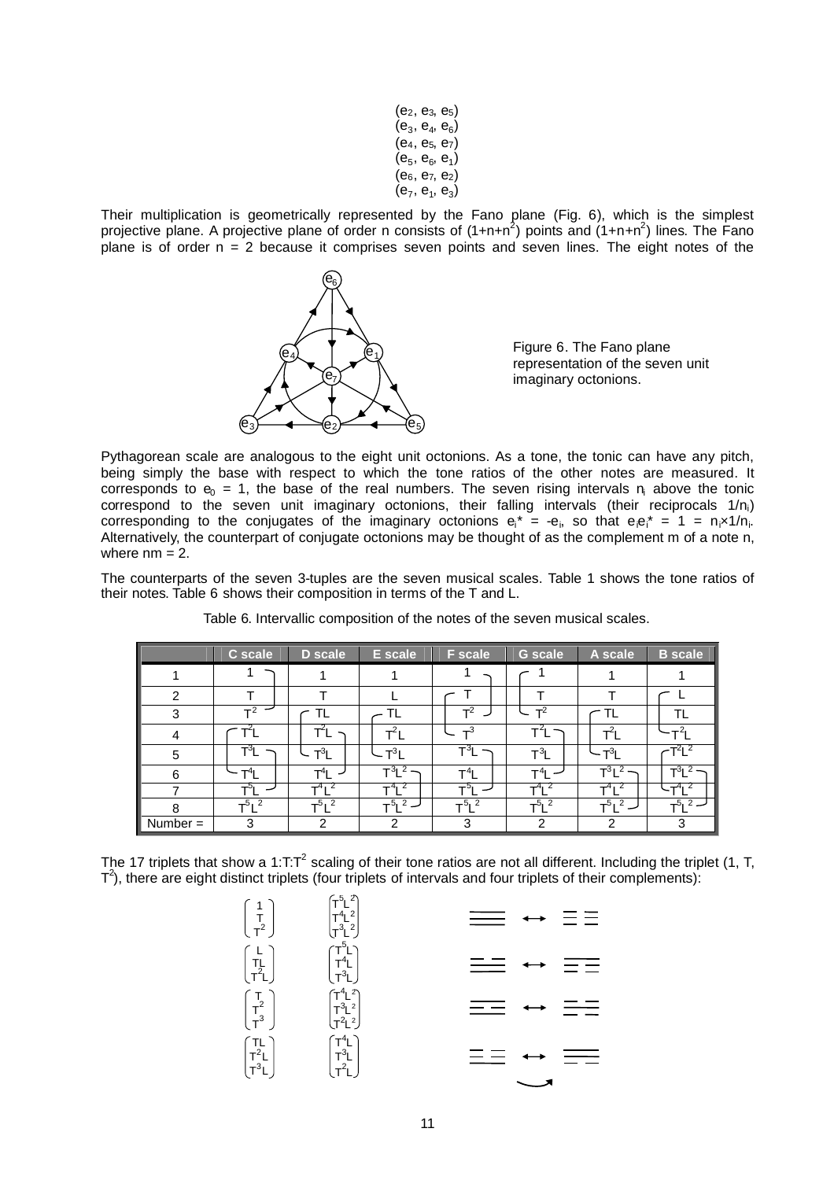$(e_2, e_3, e_5)$ (e $_{3}$ , e $_{4}$ , e $_{6})$  $(e_4, e_5, e_7)$ (e<sub>5</sub>, e<sub>6</sub>, e<sub>1</sub>)  $(e_6, e_7, e_2)$ (e<sub>7</sub>, e<sub>1</sub>, e<sub>3</sub>)

Their multiplication is geometrically represented by the Fano plane (Fig. 6), which is the simplest projective plane. A projective plane of order n consists of (1+n+n<sup>2</sup>) points and (1+n+n<sup>2</sup>) lines. The Fano plane is of order  $n = 2$  because it comprises seven points and seven lines. The eight notes of the



Figure 6. The Fano plane representation of the seven unit imaginary octonions.

Pythagorean scale are analogous to the eight unit octonions. As a tone, the tonic can have any pitch, being simply the base with respect to which the tone ratios of the other notes are measured. It corresponds to  $e_0 = 1$ , the base of the real numbers. The seven rising intervals  $n_i$  above the tonic correspond to the seven unit imaginary octonions, their falling intervals (their reciprocals 1/n<sub>i</sub>) corresponding to the conjugates of the imaginary octonions  $e_i^* = -e_i$ , so that  $e_i e_i^* = 1 = n_i \times 1/n_i$ . Alternatively, the counterpart of conjugate octonions may be thought of as the complement m of a note n, where  $nm = 2$ .

The counterparts of the seven 3-tuples are the seven musical scales. Table 1 shows the tone ratios of their notes. Table 6 shows their composition in terms of the T and L.

|                         | C scale          | <b>D</b> scale   | E scale        | <b>F</b> scale       | <b>G</b> scale      | A scale    | <b>B</b> scale                 |
|-------------------------|------------------|------------------|----------------|----------------------|---------------------|------------|--------------------------------|
|                         |                  |                  |                |                      |                     |            |                                |
| 2                       |                  |                  |                |                      |                     |            |                                |
| 3                       | $T^2$            | TL.              | TL             | $T^2$                | $T^2$               | TL         | TL                             |
| 4                       | י∼               | ΤL               | $T^2L$         | $\mathbf{r}^3$       |                     | $T^2L$     | $-2$                           |
| 5                       | $T^3L$           | $T^3L$           | $-T^3L$        | $T^3L$               | $T^3L$              | $-T^3$ l   | ~T <sup>2</sup> l <sup>2</sup> |
| 6                       | $\mathsf{T}^4$ l | T <sup>4</sup> I | $T^3L^2$ -     | $\mathsf{T}^4$ L     | $\mathsf{T}^4$ l    | $T^3L^2$   | $T^3L^2$ –                     |
|                         | ו°ד              | $-4$ , 2         | $T^{4}$ $^{2}$ | $T^5$ l              | $T^4$ $\frac{1}{2}$ | $-4$ , 2   | $-4$ , 2                       |
| 8                       | $T^5L^2$         | $T^{5}$ $I^2$    | $T^{5}$ $\sim$ | $T^{5}$ <sup>2</sup> | $T^5L^2$            | $T^5L^2$ – | $T^{5}$ $\sim$                 |
| $\blacksquare$ Number = | 3                | 2                | 2              | 3                    | 2                   | າ          | 3                              |

Table 6. Intervallic composition of the notes of the seven musical scales.

The 17 triplets that show a 1:T:T<sup>2</sup> scaling of their tone ratios are not all different. Including the triplet (1, T,  $T^2$ ), there are eight distinct triplets (four triplets of intervals and four triplets of their complements):

| $\begin{pmatrix} 1 \\ T \\ T^2 \end{pmatrix}$         | ՜ <sup>-5</sup> Լ <sup>2</sup><br>T <sup>4</sup> Լ <sup>2</sup><br>Մ <sup>3</sup> Լ |                         |
|-------------------------------------------------------|-------------------------------------------------------------------------------------|-------------------------|
| $\begin{pmatrix} L \\ T_L \\ T^2L \end{pmatrix}$      | $\begin{pmatrix} T^5L \\ T^4L \\ T^3L \end{pmatrix}$                                | $\equiv$ $=$<br>$=$ $=$ |
| $\begin{pmatrix} T \\ T^2 \\ T^3 \end{pmatrix}$       | $T^{4}L^{2}$<br>$T^{3}L^{2}$<br>$T^{2}L^{2}$                                        | $=$ $=$<br>$=$ $=$      |
| $\begin{pmatrix} T L \\ T^2 L \\ T^3 L \end{pmatrix}$ | $\begin{pmatrix} T^4L \\ T^3L \\ T^2L \end{pmatrix}$                                |                         |
|                                                       |                                                                                     |                         |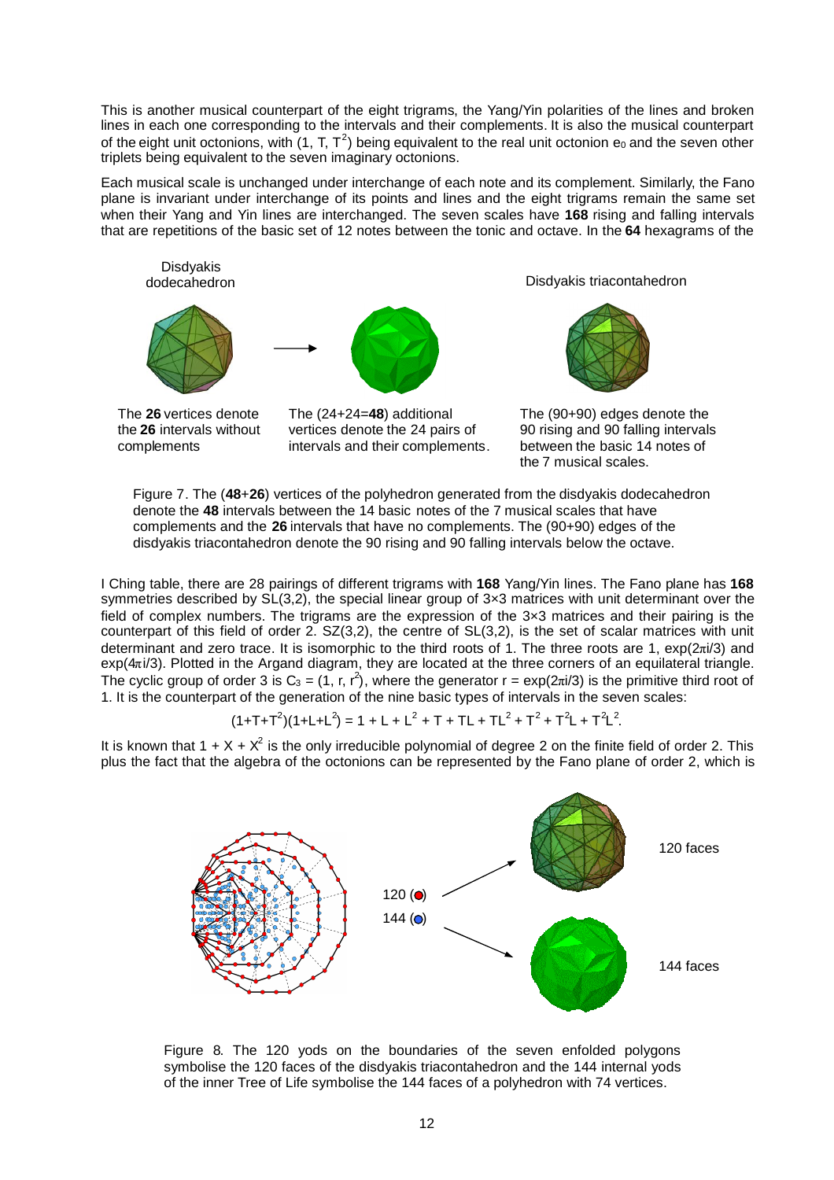This is another musical counterpart of the eight trigrams, the Yang/Yin polarities of the lines and broken lines in each one corresponding to the intervals and their complements. It is also the musical counterpart of the eight unit octonions, with (1, T, T<sup>2</sup>) being equivalent to the real unit octonion  $e_0$  and the seven other triplets being equivalent to the seven imaginary octonions.

Each musical scale is unchanged under interchange of each note and its complement. Similarly, the Fano plane is invariant under interchange of its points and lines and the eight trigrams remain the same set when their Yang and Yin lines are interchanged. The seven scales have **168** rising and falling intervals that are repetitions of the basic set of 12 notes between the tonic and octave. In the **64** hexagrams of the



the **26** intervals without complements

vertices denote the 24 pairs of intervals and their complements.

The (90+90) edges denote the 90 rising and 90 falling intervals between the basic 14 notes of the 7 musical scales.

Figure 7. The (**48**+**26**) vertices of the polyhedron generated from the disdyakis dodecahedron denote the **48** intervals between the 14 basic notes of the 7 musical scales that have complements and the **26** intervals that have no complements. The (90+90) edges of the disdyakis triacontahedron denote the 90 rising and 90 falling intervals below the octave.

I Ching table, there are 28 pairings of different trigrams with **168** Yang/Yin lines. The Fano plane has **168** symmetries described by  $SL(3,2)$ , the special linear group of 3×3 matrices with unit determinant over the field of complex numbers. The trigrams are the expression of the 3×3 matrices and their pairing is the counterpart of this field of order 2. SZ(3,2), the centre of SL(3,2), is the set of scalar matrices with unit determinant and zero trace. It is isomorphic to the third roots of 1. The three roots are 1, exp(2πi/3) and  $exp(4\pi i/3)$ . Plotted in the Argand diagram, they are located at the three corners of an equilateral triangle. The cyclic group of order 3 is  $C_3 = (1, r, r^2)$ , where the generator  $r = \exp(2\pi i/3)$  is the primitive third root of 1. It is the counterpart of the generation of the nine basic types of intervals in the seven scales:

$$
(1+T+T2)(1+L+L2) = 1 + L + L2 + T + TL + TL2 + T2 + T2L + T2L2.
$$

It is known that 1 + X +  $X^2$  is the only irreducible polynomial of degree 2 on the finite field of order 2. This plus the fact that the algebra of the octonions can be represented by the Fano plane of order 2, which is



Figure 8. The 120 yods on the boundaries of the seven enfolded polygons symbolise the 120 faces of the disdyakis triacontahedron and the 144 internal yods of the inner Tree of Life symbolise the 144 faces of a polyhedron with 74 vertices.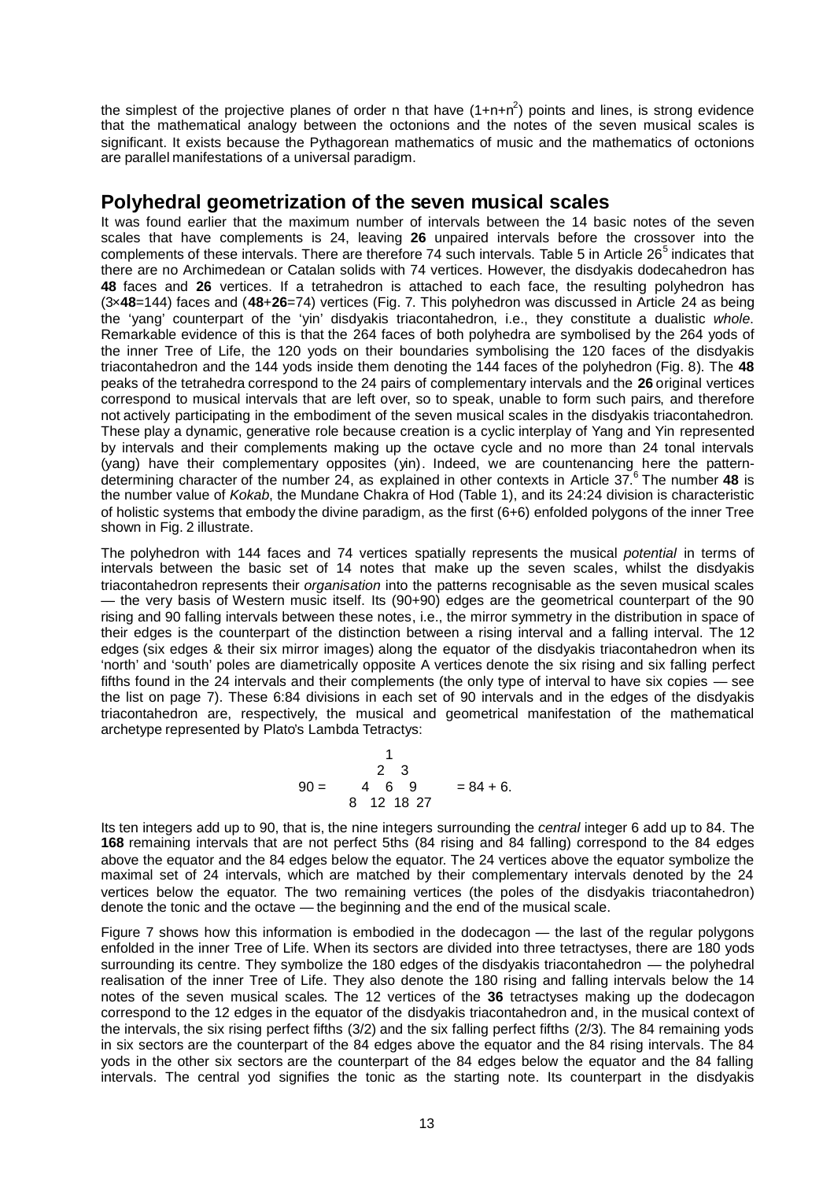the simplest of the projective planes of order n that have  $(1+n+n^2)$  points and lines, is strong evidence that the mathematical analogy between the octonions and the notes of the seven musical scales is significant. It exists because the Pythagorean mathematics of music and the mathematics of octonions are parallel manifestations of a universal paradigm.

## **Polyhedral geometrization of the seven musical scales**

It was found earlier that the maximum number of intervals between the 14 basic notes of the seven scales that have complements is 24, leaving **26** unpaired intervals before the crossover into the complementsof these intervals. There are therefore 74 such intervals. Table 5 in Article 26<sup>5</sup> indicates that there are no Archimedean or Catalan solids with 74 vertices. However, the disdyakis dodecahedron has **48** faces and **26** vertices. If a tetrahedron is attached to each face, the resulting polyhedron has (3×**48**=144) faces and (**48**+**26**=74) vertices (Fig. 7. This polyhedron was discussed in Article 24 as being the 'yang' counterpart of the 'yin' disdyakis triacontahedron, i.e., they constitute a dualistic *whole*. Remarkable evidence of this is that the 264 faces of both polyhedra are symbolised by the 264 yods of the inner Tree of Life, the 120 yods on their boundaries symbolising the 120 faces of the disdyakis triacontahedron and the 144 yods inside them denoting the 144 faces of the polyhedron (Fig. 8). The **48** peaks of the tetrahedra correspond to the 24 pairs of complementary intervals and the **26** original vertices correspond to musical intervals that are left over, so to speak, unable to form such pairs, and therefore not actively participating in the embodiment of the seven musical scales in the disdyakis triacontahedron. These play a dynamic, generative role because creation is a cyclic interplay of Yang and Yin represented by intervals and their complements making up the octave cycle and no more than 24 tonal intervals (yang) have their complementary opposites (yin). Indeed, we are countenancing here the patterndetermining character of the number 24, as explained in other contexts in Article37. 6 The number **48** is the number value of *Kokab*, the Mundane Chakra of Hod (Table 1), and its 24:24 division is characteristic of holistic systems that embody the divine paradigm, as the first (6+6) enfolded polygons of the inner Tree shown in Fig. 2 illustrate.

The polyhedron with 144 faces and 74 vertices spatially represents the musical *potential* in terms of intervals between the basic set of 14 notes that make up the seven scales, whilst the disdyakis triacontahedron represents their *organisation* into the patterns recognisable as the seven musical scales — the very basis of Western music itself. Its (90+90) edges are the geometrical counterpart of the 90 rising and 90 falling intervals between these notes, i.e., the mirror symmetry in the distribution in space of their edges is the counterpart of the distinction between a rising interval and a falling interval. The 12 edges (six edges & their six mirror images) along the equator of the disdyakis triacontahedron when its 'north' and 'south' poles are diametrically opposite A vertices denote the six rising and six falling perfect fifths found in the 24 intervals and their complements (the only type of interval to have six copies — see the list on page 7). These 6:84 divisions in each set of 90 intervals and in the edges of the disdyakis triacontahedron are, respectively, the musical and geometrical manifestation of the mathematical archetype represented by Plato's Lambda Tetractys:

$$
90 = \begin{array}{ccc} & 1 \\ 2 & 3 \\ 4 & 6 \\ 8 & 12 \\ 18 & 27 \end{array} = 84 + 6.
$$

Its ten integers add up to 90, that is, the nine integers surrounding the *central* integer 6 add up to 84. The **168** remaining intervals that are not perfect 5ths (84 rising and 84 falling) correspond to the 84 edges above the equator and the 84 edges below the equator. The 24 vertices above the equator symbolize the maximal set of 24 intervals, which are matched by their complementary intervals denoted by the 24 vertices below the equator. The two remaining vertices (the poles of the disdyakis triacontahedron) denote the tonic and the octave — the beginning and the end of the musical scale.

Figure 7 shows how this information is embodied in the dodecagon — the last of the regular polygons enfolded in the inner Tree of Life. When its sectors are divided into three tetractyses, there are 180 yods surrounding its centre. They symbolize the 180 edges of the disdyakis triacontahedron — the polyhedral realisation of the inner Tree of Life. They also denote the 180 rising and falling intervals below the 14 notes of the seven musical scales. The 12 vertices of the **36** tetractyses making up the dodecagon correspond to the 12 edges in the equator of the disdyakis triacontahedron and, in the musical context of the intervals, the six rising perfect fifths (3/2) and the six falling perfect fifths (2/3). The 84 remaining yods in six sectors are the counterpart of the 84 edges above the equator and the 84 rising intervals. The 84 yods in the other six sectors are the counterpart of the 84 edges below the equator and the 84 falling intervals. The central yod signifies the tonic as the starting note. Its counterpart in the disdyakis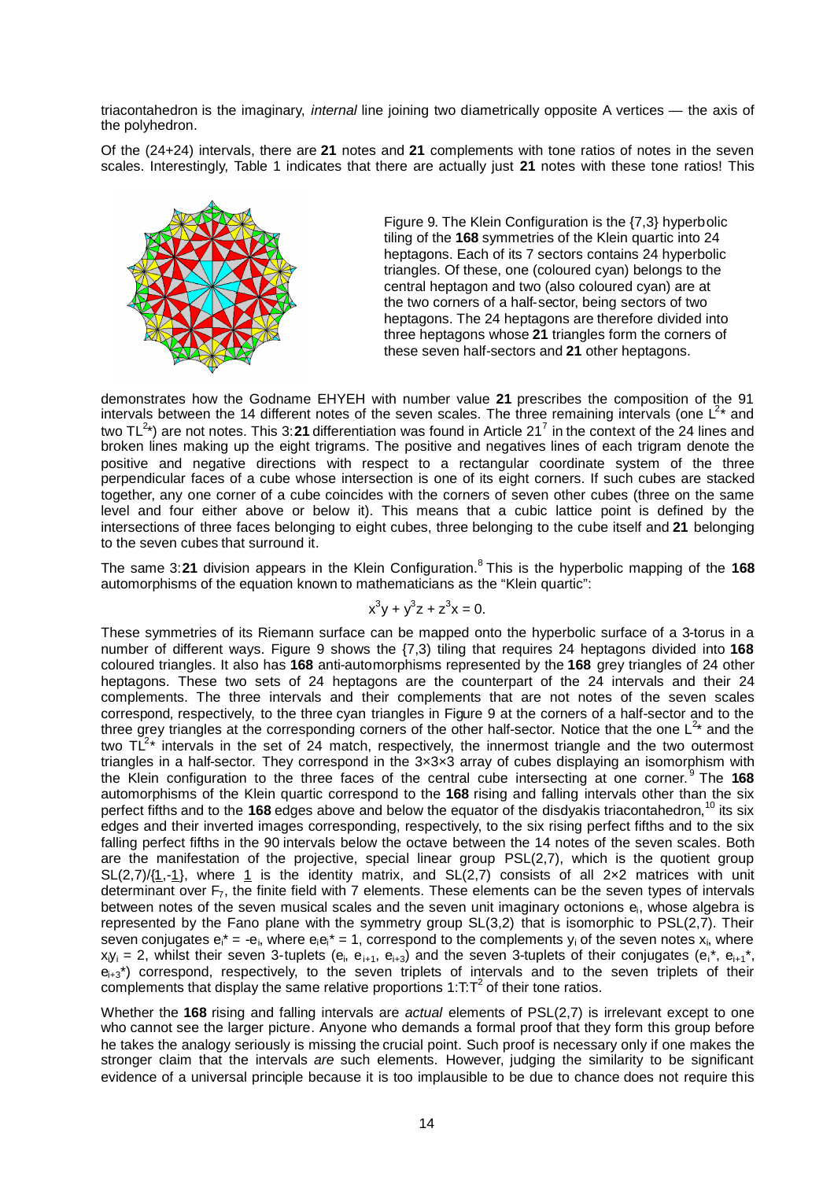triacontahedron is the imaginary, *internal* line joining two diametrically opposite A vertices — the axis of the polyhedron.

Of the (24+24) intervals, there are **21** notes and **21** complements with tone ratios of notes in the seven scales. Interestingly, Table 1 indicates that there are actually just **21** notes with these tone ratios! This



Figure 9. The Klein Configuration is the {7,3} hyperbolic tiling of the **168** symmetries of the Klein quartic into 24 heptagons. Each of its 7 sectors contains 24 hyperbolic triangles. Of these, one (coloured cyan) belongs to the central heptagon and two (also coloured cyan) are at the two corners of a half-sector, being sectors of two heptagons. The 24 heptagons are therefore divided into three heptagons whose **21** triangles form the corners of these seven half-sectors and **21** other heptagons.

demonstrates how the Godname EHYEH with number value **21** prescribes the composition of the 91 intervals between the 14 different notes of the seven scales. The three remaining intervals (one  $\mathsf{L}^{2*}$  and twoTL<sup>2</sup>\*) are not notes. This 3:21 differentiation was found in Article 21<sup>7</sup> in the context of the 24 lines and broken lines making up the eight trigrams. The positive and negatives lines of each trigram denote the positive and negative directions with respect to a rectangular coordinate system of the three perpendicular faces of a cube whose intersection is one of its eight corners. If such cubes are stacked together, any one corner of a cube coincides with the corners of seven other cubes (three on the same level and four either above or below it). This means that a cubic lattice point is defined by the intersections of three faces belonging to eight cubes, three belonging to the cube itself and **21** belonging to the seven cubes that surround it.

The same 3:21 division appears in the Klein Configuration.<sup>[8](#page-14-7)</sup> This is the hyperbolic mapping of the 168 automorphisms of the equation known to mathematicians as the "Klein quartic":

$$
x^3y + y^3z + z^3x = 0.
$$

These symmetries of its Riemann surface can be mapped onto the hyperbolic surface of a 3-torus in a number of different ways. Figure 9 shows the {7,3) tiling that requires 24 heptagons divided into **168** coloured triangles. It also has **168** anti-automorphisms represented by the **168** grey triangles of 24 other heptagons. These two sets of 24 heptagons are the counterpart of the 24 intervals and their 24 complements. The three intervals and their complements that are not notes of the seven scales correspond, respectively, to the three cyan triangles in Figure 9 at the corners of a half-sector and to the three grey triangles at the corresponding corners of the other half-sector. Notice that the one  $L^{2*}$  and the two  $TL^{2*}$  intervals in the set of 24 match, respectively, the innermost triangle and the two outermost triangles in a half-sector. They correspond in the  $3\times3\times3$  array of cubes displaying an isomorphism with the Klein configuration to the three faces of the central cube intersecting at one corner.<sup>[9](#page-14-8)</sup> The 168 automorphisms of the Klein quartic correspond to the **168** rising and falling intervals other than the six perfect fifths and to the 168 edges above and below the equator of the disdyakis triacontahedron,<sup>[10](#page-14-9)</sup> its six edges and their inverted images corresponding, respectively, to the six rising perfect fifths and to the six falling perfect fifths in the 90 intervals below the octave between the 14 notes of the seven scales. Both are the manifestation of the projective, special linear group PSL(2,7), which is the quotient group SL(2,7)/ $\{1,-1\}$ , where 1 is the identity matrix, and SL(2,7) consists of all 2×2 matrices with unit determinant over  $\mathsf{F}_7$ , the finite field with 7 elements. These elements can be the seven types of intervals between notes of the seven musical scales and the seven unit imaginary octonions  $e_i$ , whose algebra is represented by the Fano plane with the symmetry group SL(3,2) that is isomorphic to PSL(2,7). Their seven conjugates  $e_i^* = -e_i$ , where  $e_i e_i^* = 1$ , correspond to the complements y<sub>i</sub> of the seven notes x<sub>i</sub>, where  $x_{i}y_i = 2$ , whilst their seven 3-tuplets (e<sub>i</sub>, e<sub>i+1</sub>, e<sub>i+3</sub>) and the seven 3-tuplets of their conjugates (e<sub>i</sub><sup>\*</sup>, e<sub>i+1</sub><sup>\*</sup>,  $e_{i+3}$ <sup>\*</sup>) correspond, respectively, to the seven triplets of intervals and to the seven triplets of their complements that display the same relative proportions  $1:\text{T}:\text{T}^2$  of their tone ratios.

Whether the **168** rising and falling intervals are *actual* elements of PSL(2,7) is irrelevant except to one who cannot see the larger picture. Anyone who demands a formal proof that they form this group before he takes the analogy seriously is missing the crucial point. Such proof is necessary only if one makes the stronger claim that the intervals *are* such elements. However, judging the similarity to be significant evidence of a universal principle because it is too implausible to be due to chance does not require this